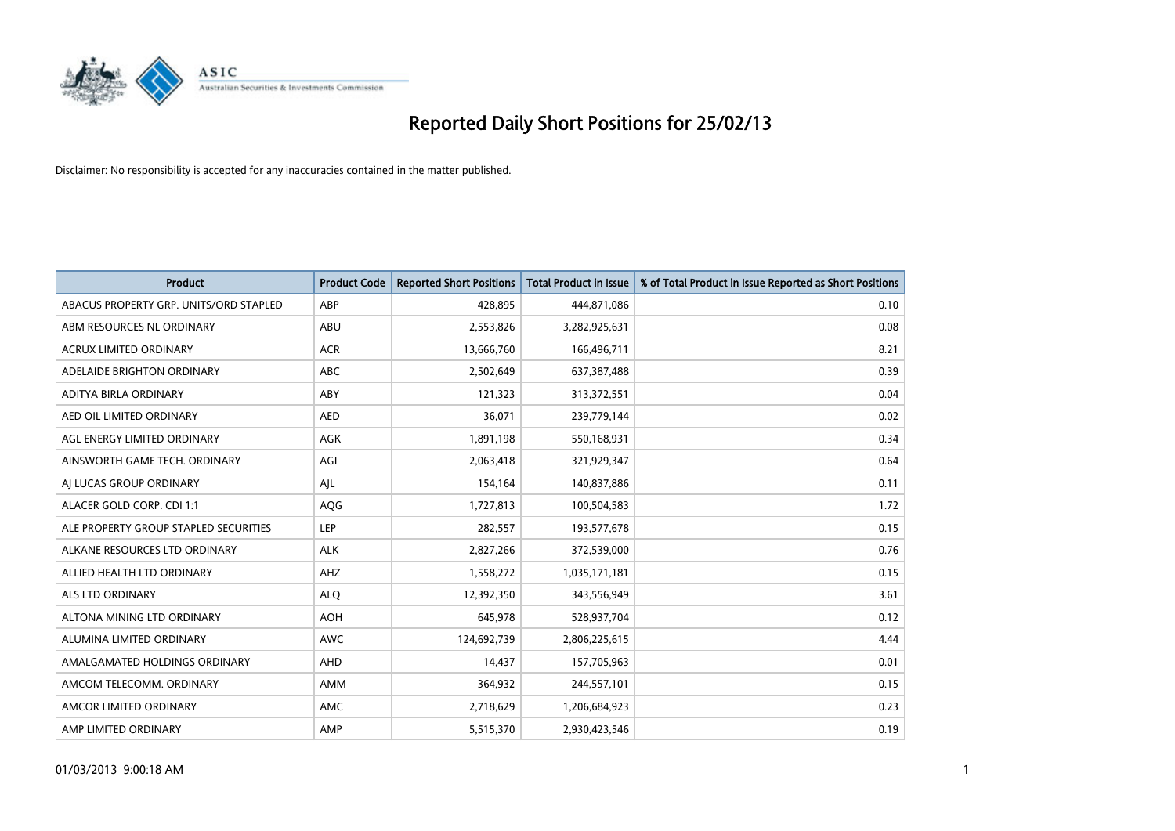

| <b>Product</b>                         | <b>Product Code</b> | <b>Reported Short Positions</b> | <b>Total Product in Issue</b> | % of Total Product in Issue Reported as Short Positions |
|----------------------------------------|---------------------|---------------------------------|-------------------------------|---------------------------------------------------------|
| ABACUS PROPERTY GRP. UNITS/ORD STAPLED | ABP                 | 428,895                         | 444,871,086                   | 0.10                                                    |
| ABM RESOURCES NL ORDINARY              | ABU                 | 2,553,826                       | 3,282,925,631                 | 0.08                                                    |
| <b>ACRUX LIMITED ORDINARY</b>          | <b>ACR</b>          | 13,666,760                      | 166,496,711                   | 8.21                                                    |
| ADELAIDE BRIGHTON ORDINARY             | <b>ABC</b>          | 2,502,649                       | 637,387,488                   | 0.39                                                    |
| ADITYA BIRLA ORDINARY                  | ABY                 | 121,323                         | 313,372,551                   | 0.04                                                    |
| AED OIL LIMITED ORDINARY               | <b>AED</b>          | 36,071                          | 239,779,144                   | 0.02                                                    |
| AGL ENERGY LIMITED ORDINARY            | AGK                 | 1,891,198                       | 550,168,931                   | 0.34                                                    |
| AINSWORTH GAME TECH. ORDINARY          | AGI                 | 2,063,418                       | 321,929,347                   | 0.64                                                    |
| AI LUCAS GROUP ORDINARY                | AJL                 | 154,164                         | 140,837,886                   | 0.11                                                    |
| ALACER GOLD CORP. CDI 1:1              | AQG                 | 1,727,813                       | 100,504,583                   | 1.72                                                    |
| ALE PROPERTY GROUP STAPLED SECURITIES  | <b>LEP</b>          | 282,557                         | 193,577,678                   | 0.15                                                    |
| ALKANE RESOURCES LTD ORDINARY          | <b>ALK</b>          | 2,827,266                       | 372,539,000                   | 0.76                                                    |
| ALLIED HEALTH LTD ORDINARY             | AHZ                 | 1,558,272                       | 1,035,171,181                 | 0.15                                                    |
| ALS LTD ORDINARY                       | <b>ALO</b>          | 12,392,350                      | 343,556,949                   | 3.61                                                    |
| ALTONA MINING LTD ORDINARY             | <b>AOH</b>          | 645,978                         | 528,937,704                   | 0.12                                                    |
| ALUMINA LIMITED ORDINARY               | <b>AWC</b>          | 124,692,739                     | 2,806,225,615                 | 4.44                                                    |
| AMALGAMATED HOLDINGS ORDINARY          | AHD                 | 14,437                          | 157,705,963                   | 0.01                                                    |
| AMCOM TELECOMM, ORDINARY               | <b>AMM</b>          | 364,932                         | 244,557,101                   | 0.15                                                    |
| AMCOR LIMITED ORDINARY                 | AMC                 | 2,718,629                       | 1,206,684,923                 | 0.23                                                    |
| AMP LIMITED ORDINARY                   | AMP                 | 5,515,370                       | 2,930,423,546                 | 0.19                                                    |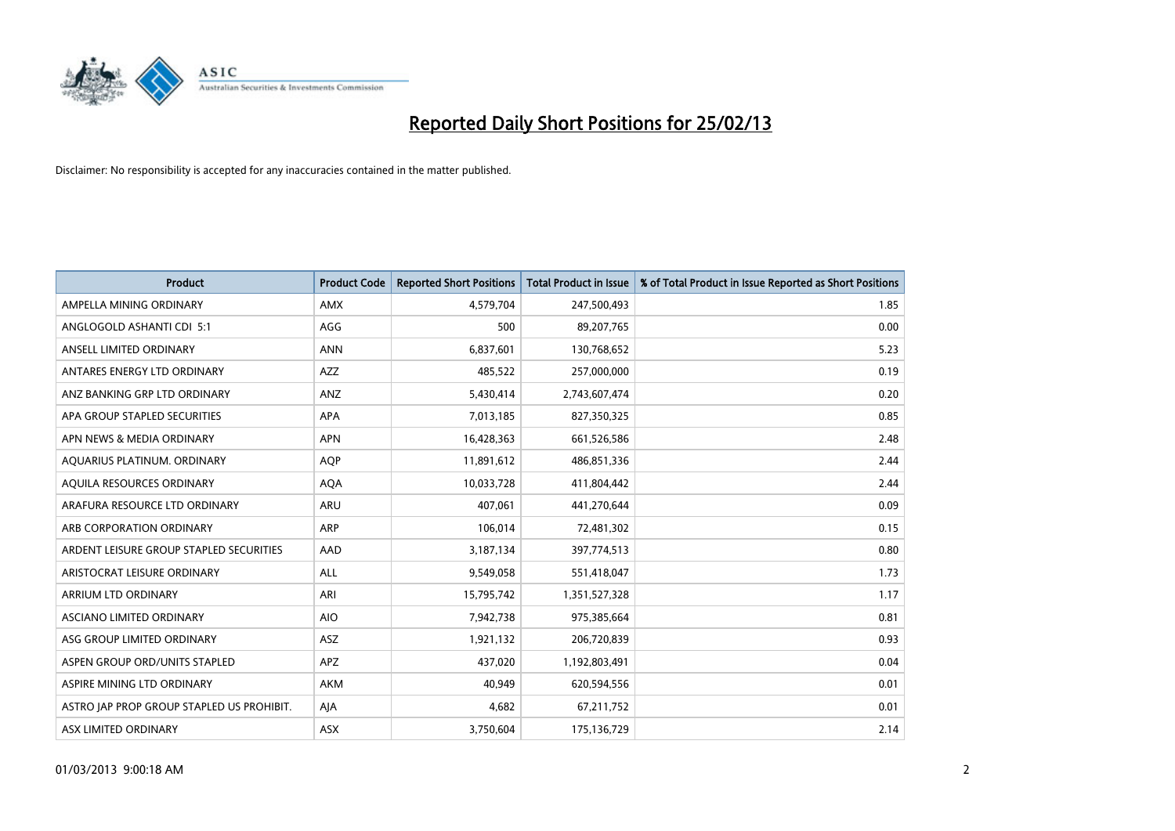

| <b>Product</b>                            | <b>Product Code</b> | <b>Reported Short Positions</b> | <b>Total Product in Issue</b> | % of Total Product in Issue Reported as Short Positions |
|-------------------------------------------|---------------------|---------------------------------|-------------------------------|---------------------------------------------------------|
| AMPELLA MINING ORDINARY                   | <b>AMX</b>          | 4,579,704                       | 247,500,493                   | 1.85                                                    |
| ANGLOGOLD ASHANTI CDI 5:1                 | AGG                 | 500                             | 89,207,765                    | 0.00                                                    |
| ANSELL LIMITED ORDINARY                   | <b>ANN</b>          | 6,837,601                       | 130,768,652                   | 5.23                                                    |
| ANTARES ENERGY LTD ORDINARY               | <b>AZZ</b>          | 485,522                         | 257,000,000                   | 0.19                                                    |
| ANZ BANKING GRP LTD ORDINARY              | ANZ                 | 5,430,414                       | 2,743,607,474                 | 0.20                                                    |
| APA GROUP STAPLED SECURITIES              | <b>APA</b>          | 7,013,185                       | 827,350,325                   | 0.85                                                    |
| APN NEWS & MEDIA ORDINARY                 | <b>APN</b>          | 16,428,363                      | 661,526,586                   | 2.48                                                    |
| AQUARIUS PLATINUM. ORDINARY               | <b>AQP</b>          | 11,891,612                      | 486,851,336                   | 2.44                                                    |
| AQUILA RESOURCES ORDINARY                 | <b>AQA</b>          | 10,033,728                      | 411,804,442                   | 2.44                                                    |
| ARAFURA RESOURCE LTD ORDINARY             | ARU                 | 407,061                         | 441,270,644                   | 0.09                                                    |
| ARB CORPORATION ORDINARY                  | ARP                 | 106,014                         | 72,481,302                    | 0.15                                                    |
| ARDENT LEISURE GROUP STAPLED SECURITIES   | AAD                 | 3,187,134                       | 397,774,513                   | 0.80                                                    |
| ARISTOCRAT LEISURE ORDINARY               | ALL                 | 9,549,058                       | 551,418,047                   | 1.73                                                    |
| ARRIUM LTD ORDINARY                       | ARI                 | 15,795,742                      | 1,351,527,328                 | 1.17                                                    |
| ASCIANO LIMITED ORDINARY                  | <b>AIO</b>          | 7,942,738                       | 975,385,664                   | 0.81                                                    |
| ASG GROUP LIMITED ORDINARY                | ASZ                 | 1,921,132                       | 206,720,839                   | 0.93                                                    |
| ASPEN GROUP ORD/UNITS STAPLED             | APZ                 | 437,020                         | 1,192,803,491                 | 0.04                                                    |
| ASPIRE MINING LTD ORDINARY                | <b>AKM</b>          | 40.949                          | 620,594,556                   | 0.01                                                    |
| ASTRO JAP PROP GROUP STAPLED US PROHIBIT. | AJA                 | 4,682                           | 67,211,752                    | 0.01                                                    |
| ASX LIMITED ORDINARY                      | ASX                 | 3,750,604                       | 175,136,729                   | 2.14                                                    |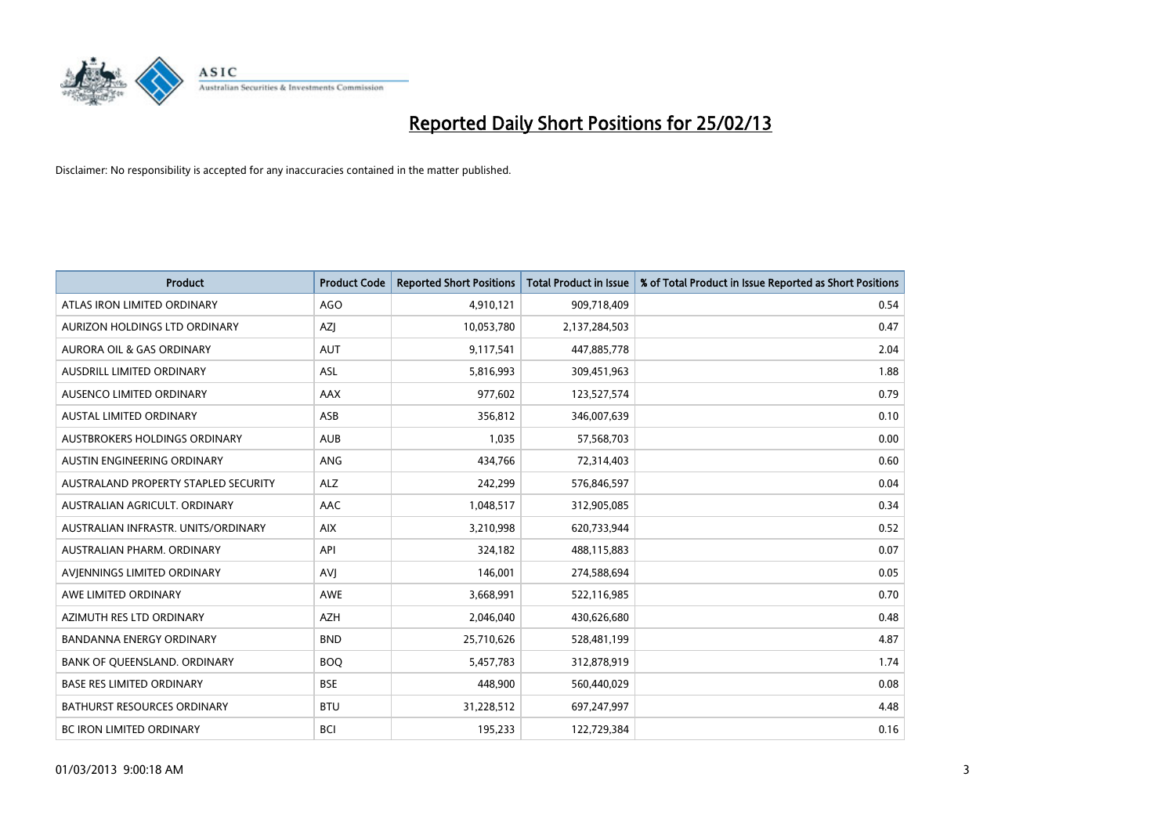

| <b>Product</b>                       | <b>Product Code</b> | <b>Reported Short Positions</b> | <b>Total Product in Issue</b> | % of Total Product in Issue Reported as Short Positions |
|--------------------------------------|---------------------|---------------------------------|-------------------------------|---------------------------------------------------------|
| ATLAS IRON LIMITED ORDINARY          | AGO                 | 4,910,121                       | 909,718,409                   | 0.54                                                    |
| AURIZON HOLDINGS LTD ORDINARY        | AZJ                 | 10,053,780                      | 2,137,284,503                 | 0.47                                                    |
| AURORA OIL & GAS ORDINARY            | <b>AUT</b>          | 9,117,541                       | 447,885,778                   | 2.04                                                    |
| AUSDRILL LIMITED ORDINARY            | <b>ASL</b>          | 5,816,993                       | 309,451,963                   | 1.88                                                    |
| AUSENCO LIMITED ORDINARY             | AAX                 | 977,602                         | 123,527,574                   | 0.79                                                    |
| <b>AUSTAL LIMITED ORDINARY</b>       | ASB                 | 356,812                         | 346,007,639                   | 0.10                                                    |
| AUSTBROKERS HOLDINGS ORDINARY        | <b>AUB</b>          | 1,035                           | 57,568,703                    | 0.00                                                    |
| AUSTIN ENGINEERING ORDINARY          | ANG                 | 434,766                         | 72,314,403                    | 0.60                                                    |
| AUSTRALAND PROPERTY STAPLED SECURITY | <b>ALZ</b>          | 242,299                         | 576,846,597                   | 0.04                                                    |
| AUSTRALIAN AGRICULT, ORDINARY        | AAC                 | 1,048,517                       | 312,905,085                   | 0.34                                                    |
| AUSTRALIAN INFRASTR. UNITS/ORDINARY  | <b>AIX</b>          | 3,210,998                       | 620,733,944                   | 0.52                                                    |
| AUSTRALIAN PHARM, ORDINARY           | API                 | 324,182                         | 488,115,883                   | 0.07                                                    |
| AVJENNINGS LIMITED ORDINARY          | <b>AVJ</b>          | 146,001                         | 274,588,694                   | 0.05                                                    |
| AWE LIMITED ORDINARY                 | <b>AWE</b>          | 3,668,991                       | 522,116,985                   | 0.70                                                    |
| AZIMUTH RES LTD ORDINARY             | <b>AZH</b>          | 2,046,040                       | 430,626,680                   | 0.48                                                    |
| <b>BANDANNA ENERGY ORDINARY</b>      | <b>BND</b>          | 25,710,626                      | 528,481,199                   | 4.87                                                    |
| BANK OF QUEENSLAND. ORDINARY         | <b>BOO</b>          | 5,457,783                       | 312,878,919                   | 1.74                                                    |
| <b>BASE RES LIMITED ORDINARY</b>     | <b>BSE</b>          | 448,900                         | 560,440,029                   | 0.08                                                    |
| <b>BATHURST RESOURCES ORDINARY</b>   | <b>BTU</b>          | 31,228,512                      | 697,247,997                   | 4.48                                                    |
| BC IRON LIMITED ORDINARY             | <b>BCI</b>          | 195,233                         | 122,729,384                   | 0.16                                                    |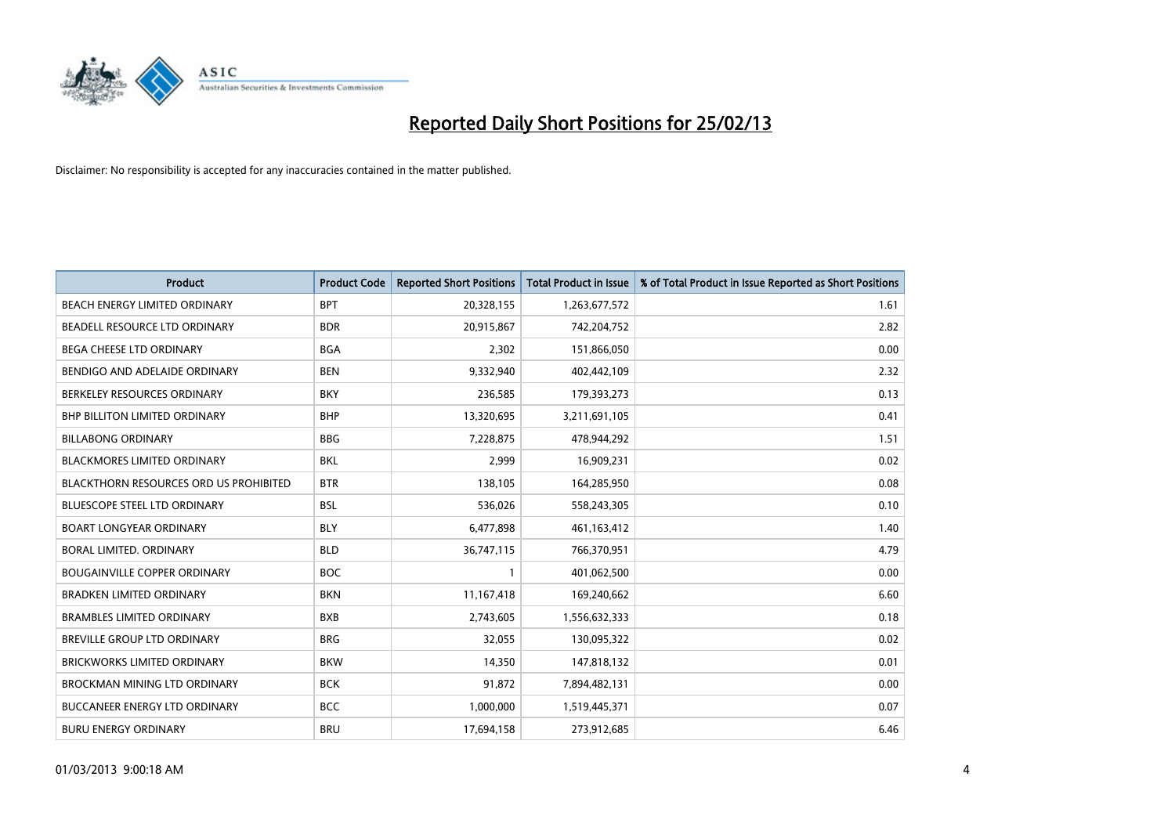

| <b>Product</b>                                | <b>Product Code</b> | <b>Reported Short Positions</b> | <b>Total Product in Issue</b> | % of Total Product in Issue Reported as Short Positions |
|-----------------------------------------------|---------------------|---------------------------------|-------------------------------|---------------------------------------------------------|
| BEACH ENERGY LIMITED ORDINARY                 | <b>BPT</b>          | 20,328,155                      | 1,263,677,572                 | 1.61                                                    |
| BEADELL RESOURCE LTD ORDINARY                 | <b>BDR</b>          | 20,915,867                      | 742,204,752                   | 2.82                                                    |
| <b>BEGA CHEESE LTD ORDINARY</b>               | <b>BGA</b>          | 2,302                           | 151,866,050                   | 0.00                                                    |
| BENDIGO AND ADELAIDE ORDINARY                 | <b>BEN</b>          | 9,332,940                       | 402,442,109                   | 2.32                                                    |
| BERKELEY RESOURCES ORDINARY                   | <b>BKY</b>          | 236,585                         | 179,393,273                   | 0.13                                                    |
| BHP BILLITON LIMITED ORDINARY                 | <b>BHP</b>          | 13,320,695                      | 3,211,691,105                 | 0.41                                                    |
| <b>BILLABONG ORDINARY</b>                     | <b>BBG</b>          | 7,228,875                       | 478,944,292                   | 1.51                                                    |
| <b>BLACKMORES LIMITED ORDINARY</b>            | <b>BKL</b>          | 2,999                           | 16,909,231                    | 0.02                                                    |
| <b>BLACKTHORN RESOURCES ORD US PROHIBITED</b> | <b>BTR</b>          | 138,105                         | 164,285,950                   | 0.08                                                    |
| <b>BLUESCOPE STEEL LTD ORDINARY</b>           | <b>BSL</b>          | 536,026                         | 558,243,305                   | 0.10                                                    |
| <b>BOART LONGYEAR ORDINARY</b>                | <b>BLY</b>          | 6,477,898                       | 461,163,412                   | 1.40                                                    |
| <b>BORAL LIMITED, ORDINARY</b>                | <b>BLD</b>          | 36,747,115                      | 766,370,951                   | 4.79                                                    |
| <b>BOUGAINVILLE COPPER ORDINARY</b>           | <b>BOC</b>          | $\mathbf{1}$                    | 401,062,500                   | 0.00                                                    |
| <b>BRADKEN LIMITED ORDINARY</b>               | <b>BKN</b>          | 11,167,418                      | 169,240,662                   | 6.60                                                    |
| <b>BRAMBLES LIMITED ORDINARY</b>              | <b>BXB</b>          | 2,743,605                       | 1,556,632,333                 | 0.18                                                    |
| BREVILLE GROUP LTD ORDINARY                   | <b>BRG</b>          | 32,055                          | 130,095,322                   | 0.02                                                    |
| BRICKWORKS LIMITED ORDINARY                   | <b>BKW</b>          | 14,350                          | 147,818,132                   | 0.01                                                    |
| <b>BROCKMAN MINING LTD ORDINARY</b>           | <b>BCK</b>          | 91,872                          | 7,894,482,131                 | 0.00                                                    |
| <b>BUCCANEER ENERGY LTD ORDINARY</b>          | <b>BCC</b>          | 1,000,000                       | 1,519,445,371                 | 0.07                                                    |
| <b>BURU ENERGY ORDINARY</b>                   | <b>BRU</b>          | 17,694,158                      | 273,912,685                   | 6.46                                                    |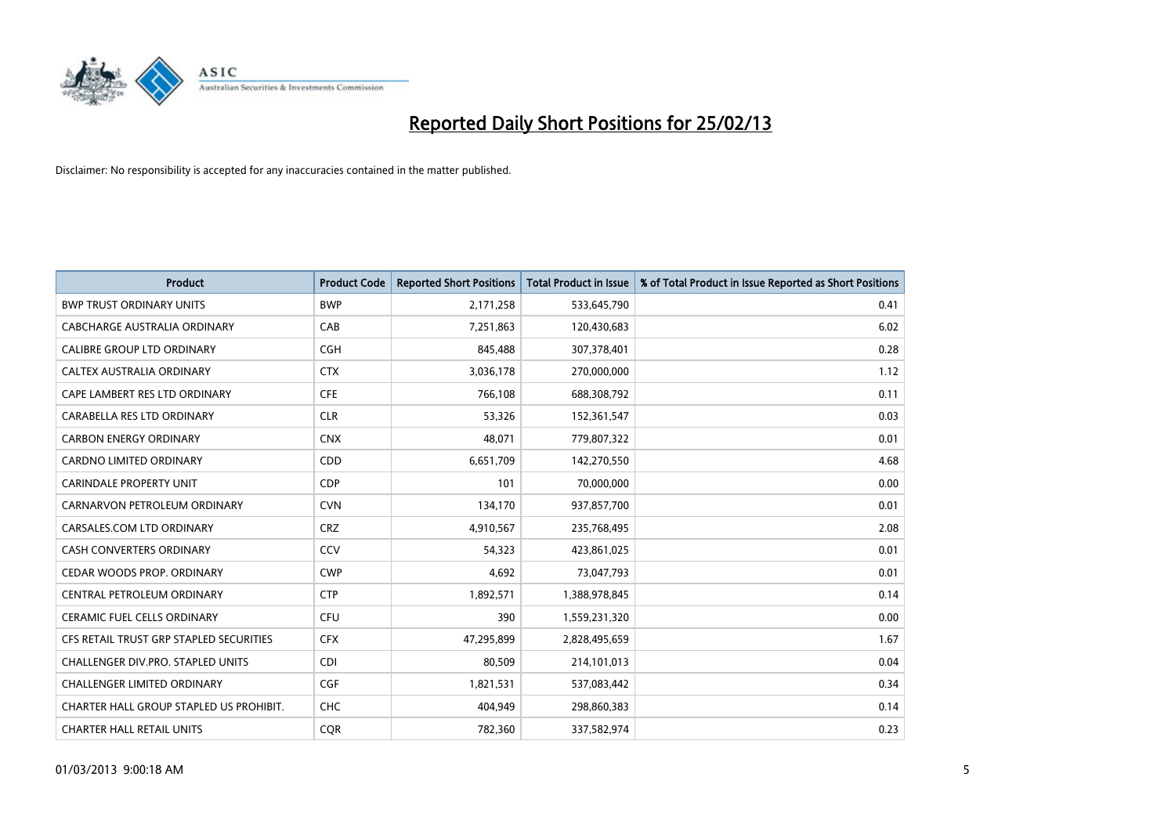

| <b>Product</b>                          | <b>Product Code</b> | <b>Reported Short Positions</b> | Total Product in Issue | % of Total Product in Issue Reported as Short Positions |
|-----------------------------------------|---------------------|---------------------------------|------------------------|---------------------------------------------------------|
| <b>BWP TRUST ORDINARY UNITS</b>         | <b>BWP</b>          | 2,171,258                       | 533,645,790            | 0.41                                                    |
| CABCHARGE AUSTRALIA ORDINARY            | CAB                 | 7,251,863                       | 120,430,683            | 6.02                                                    |
| <b>CALIBRE GROUP LTD ORDINARY</b>       | <b>CGH</b>          | 845,488                         | 307,378,401            | 0.28                                                    |
| CALTEX AUSTRALIA ORDINARY               | <b>CTX</b>          | 3,036,178                       | 270,000,000            | 1.12                                                    |
| CAPE LAMBERT RES LTD ORDINARY           | <b>CFE</b>          | 766,108                         | 688,308,792            | 0.11                                                    |
| CARABELLA RES LTD ORDINARY              | <b>CLR</b>          | 53,326                          | 152,361,547            | 0.03                                                    |
| <b>CARBON ENERGY ORDINARY</b>           | <b>CNX</b>          | 48,071                          | 779,807,322            | 0.01                                                    |
| CARDNO LIMITED ORDINARY                 | CDD                 | 6,651,709                       | 142,270,550            | 4.68                                                    |
| <b>CARINDALE PROPERTY UNIT</b>          | <b>CDP</b>          | 101                             | 70,000,000             | 0.00                                                    |
| CARNARVON PETROLEUM ORDINARY            | <b>CVN</b>          | 134,170                         | 937,857,700            | 0.01                                                    |
| CARSALES.COM LTD ORDINARY               | <b>CRZ</b>          | 4,910,567                       | 235,768,495            | 2.08                                                    |
| <b>CASH CONVERTERS ORDINARY</b>         | CCV                 | 54,323                          | 423,861,025            | 0.01                                                    |
| CEDAR WOODS PROP. ORDINARY              | <b>CWP</b>          | 4,692                           | 73,047,793             | 0.01                                                    |
| CENTRAL PETROLEUM ORDINARY              | <b>CTP</b>          | 1,892,571                       | 1,388,978,845          | 0.14                                                    |
| <b>CERAMIC FUEL CELLS ORDINARY</b>      | <b>CFU</b>          | 390                             | 1,559,231,320          | 0.00                                                    |
| CFS RETAIL TRUST GRP STAPLED SECURITIES | <b>CFX</b>          | 47,295,899                      | 2,828,495,659          | 1.67                                                    |
| CHALLENGER DIV.PRO. STAPLED UNITS       | <b>CDI</b>          | 80,509                          | 214,101,013            | 0.04                                                    |
| <b>CHALLENGER LIMITED ORDINARY</b>      | <b>CGF</b>          | 1,821,531                       | 537,083,442            | 0.34                                                    |
| CHARTER HALL GROUP STAPLED US PROHIBIT. | <b>CHC</b>          | 404,949                         | 298,860,383            | 0.14                                                    |
| <b>CHARTER HALL RETAIL UNITS</b>        | <b>COR</b>          | 782,360                         | 337,582,974            | 0.23                                                    |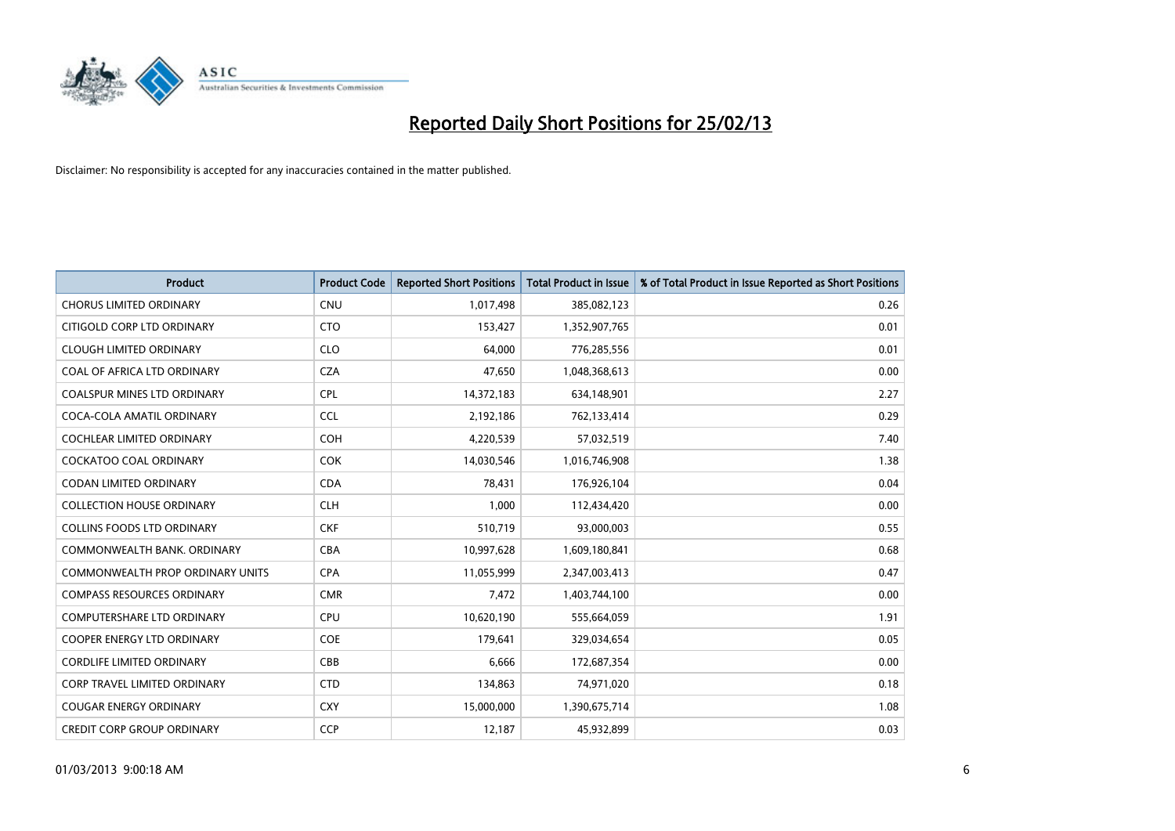

| <b>Product</b>                          | <b>Product Code</b> | <b>Reported Short Positions</b> | <b>Total Product in Issue</b> | % of Total Product in Issue Reported as Short Positions |
|-----------------------------------------|---------------------|---------------------------------|-------------------------------|---------------------------------------------------------|
| <b>CHORUS LIMITED ORDINARY</b>          | <b>CNU</b>          | 1,017,498                       | 385,082,123                   | 0.26                                                    |
| CITIGOLD CORP LTD ORDINARY              | <b>CTO</b>          | 153,427                         | 1,352,907,765                 | 0.01                                                    |
| <b>CLOUGH LIMITED ORDINARY</b>          | <b>CLO</b>          | 64.000                          | 776,285,556                   | 0.01                                                    |
| COAL OF AFRICA LTD ORDINARY             | <b>CZA</b>          | 47,650                          | 1,048,368,613                 | 0.00                                                    |
| <b>COALSPUR MINES LTD ORDINARY</b>      | <b>CPL</b>          | 14,372,183                      | 634,148,901                   | 2.27                                                    |
| COCA-COLA AMATIL ORDINARY               | <b>CCL</b>          | 2,192,186                       | 762,133,414                   | 0.29                                                    |
| <b>COCHLEAR LIMITED ORDINARY</b>        | <b>COH</b>          | 4,220,539                       | 57,032,519                    | 7.40                                                    |
| COCKATOO COAL ORDINARY                  | <b>COK</b>          | 14,030,546                      | 1,016,746,908                 | 1.38                                                    |
| <b>CODAN LIMITED ORDINARY</b>           | <b>CDA</b>          | 78,431                          | 176,926,104                   | 0.04                                                    |
| <b>COLLECTION HOUSE ORDINARY</b>        | <b>CLH</b>          | 1,000                           | 112,434,420                   | 0.00                                                    |
| <b>COLLINS FOODS LTD ORDINARY</b>       | <b>CKF</b>          | 510,719                         | 93,000,003                    | 0.55                                                    |
| COMMONWEALTH BANK, ORDINARY             | <b>CBA</b>          | 10,997,628                      | 1,609,180,841                 | 0.68                                                    |
| <b>COMMONWEALTH PROP ORDINARY UNITS</b> | <b>CPA</b>          | 11,055,999                      | 2,347,003,413                 | 0.47                                                    |
| <b>COMPASS RESOURCES ORDINARY</b>       | <b>CMR</b>          | 7,472                           | 1,403,744,100                 | 0.00                                                    |
| <b>COMPUTERSHARE LTD ORDINARY</b>       | <b>CPU</b>          | 10,620,190                      | 555,664,059                   | 1.91                                                    |
| COOPER ENERGY LTD ORDINARY              | <b>COE</b>          | 179,641                         | 329,034,654                   | 0.05                                                    |
| <b>CORDLIFE LIMITED ORDINARY</b>        | CBB                 | 6,666                           | 172,687,354                   | 0.00                                                    |
| <b>CORP TRAVEL LIMITED ORDINARY</b>     | <b>CTD</b>          | 134,863                         | 74,971,020                    | 0.18                                                    |
| <b>COUGAR ENERGY ORDINARY</b>           | <b>CXY</b>          | 15,000,000                      | 1,390,675,714                 | 1.08                                                    |
| <b>CREDIT CORP GROUP ORDINARY</b>       | <b>CCP</b>          | 12,187                          | 45,932,899                    | 0.03                                                    |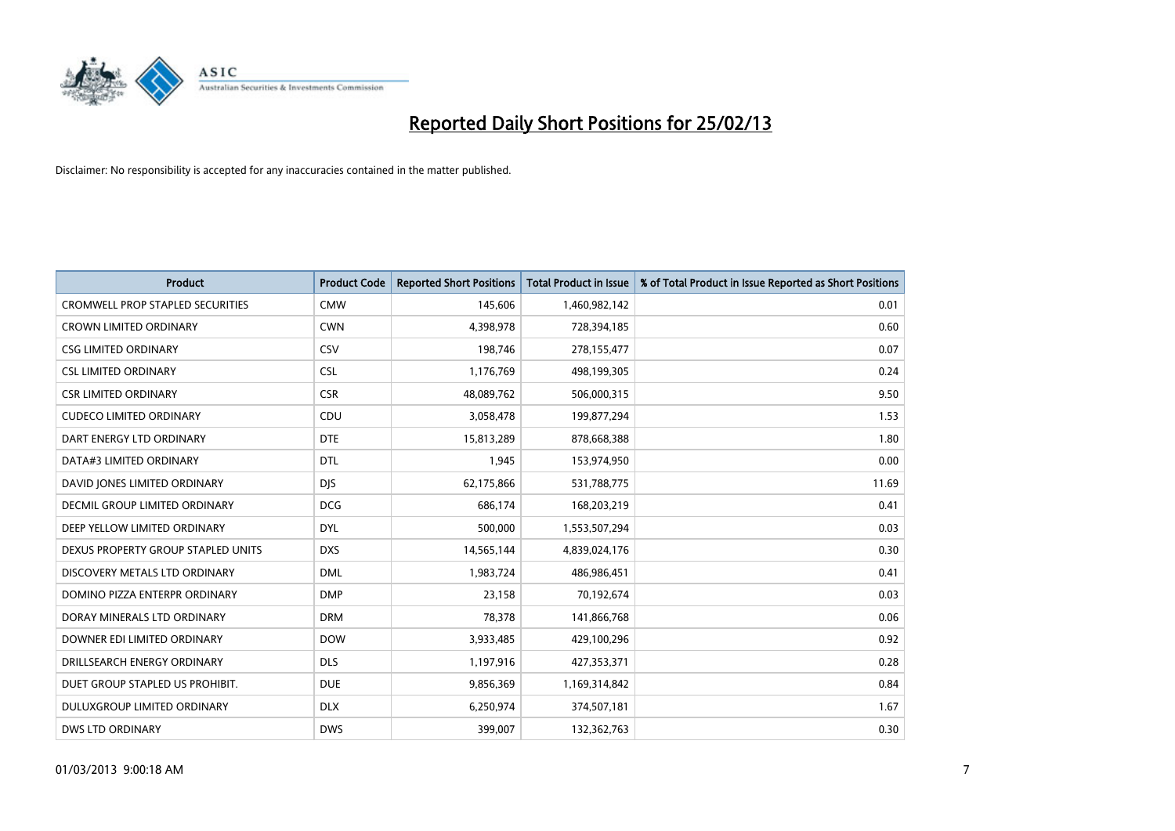

| <b>Product</b>                          | <b>Product Code</b> | <b>Reported Short Positions</b> | <b>Total Product in Issue</b> | % of Total Product in Issue Reported as Short Positions |
|-----------------------------------------|---------------------|---------------------------------|-------------------------------|---------------------------------------------------------|
| <b>CROMWELL PROP STAPLED SECURITIES</b> | <b>CMW</b>          | 145,606                         | 1,460,982,142                 | 0.01                                                    |
| CROWN LIMITED ORDINARY                  | <b>CWN</b>          | 4,398,978                       | 728,394,185                   | 0.60                                                    |
| CSG LIMITED ORDINARY                    | CSV                 | 198,746                         | 278,155,477                   | 0.07                                                    |
| <b>CSL LIMITED ORDINARY</b>             | <b>CSL</b>          | 1,176,769                       | 498,199,305                   | 0.24                                                    |
| <b>CSR LIMITED ORDINARY</b>             | <b>CSR</b>          | 48,089,762                      | 506,000,315                   | 9.50                                                    |
| <b>CUDECO LIMITED ORDINARY</b>          | CDU                 | 3,058,478                       | 199,877,294                   | 1.53                                                    |
| DART ENERGY LTD ORDINARY                | <b>DTE</b>          | 15,813,289                      | 878,668,388                   | 1.80                                                    |
| DATA#3 LIMITED ORDINARY                 | <b>DTL</b>          | 1,945                           | 153,974,950                   | 0.00                                                    |
| DAVID JONES LIMITED ORDINARY            | <b>DJS</b>          | 62,175,866                      | 531,788,775                   | 11.69                                                   |
| DECMIL GROUP LIMITED ORDINARY           | <b>DCG</b>          | 686,174                         | 168,203,219                   | 0.41                                                    |
| DEEP YELLOW LIMITED ORDINARY            | <b>DYL</b>          | 500,000                         | 1,553,507,294                 | 0.03                                                    |
| DEXUS PROPERTY GROUP STAPLED UNITS      | <b>DXS</b>          | 14,565,144                      | 4,839,024,176                 | 0.30                                                    |
| DISCOVERY METALS LTD ORDINARY           | <b>DML</b>          | 1,983,724                       | 486,986,451                   | 0.41                                                    |
| DOMINO PIZZA ENTERPR ORDINARY           | <b>DMP</b>          | 23,158                          | 70,192,674                    | 0.03                                                    |
| DORAY MINERALS LTD ORDINARY             | <b>DRM</b>          | 78,378                          | 141,866,768                   | 0.06                                                    |
| DOWNER EDI LIMITED ORDINARY             | <b>DOW</b>          | 3,933,485                       | 429,100,296                   | 0.92                                                    |
| DRILLSEARCH ENERGY ORDINARY             | <b>DLS</b>          | 1,197,916                       | 427,353,371                   | 0.28                                                    |
| DUET GROUP STAPLED US PROHIBIT.         | <b>DUE</b>          | 9,856,369                       | 1,169,314,842                 | 0.84                                                    |
| DULUXGROUP LIMITED ORDINARY             | <b>DLX</b>          | 6,250,974                       | 374,507,181                   | 1.67                                                    |
| <b>DWS LTD ORDINARY</b>                 | <b>DWS</b>          | 399,007                         | 132,362,763                   | 0.30                                                    |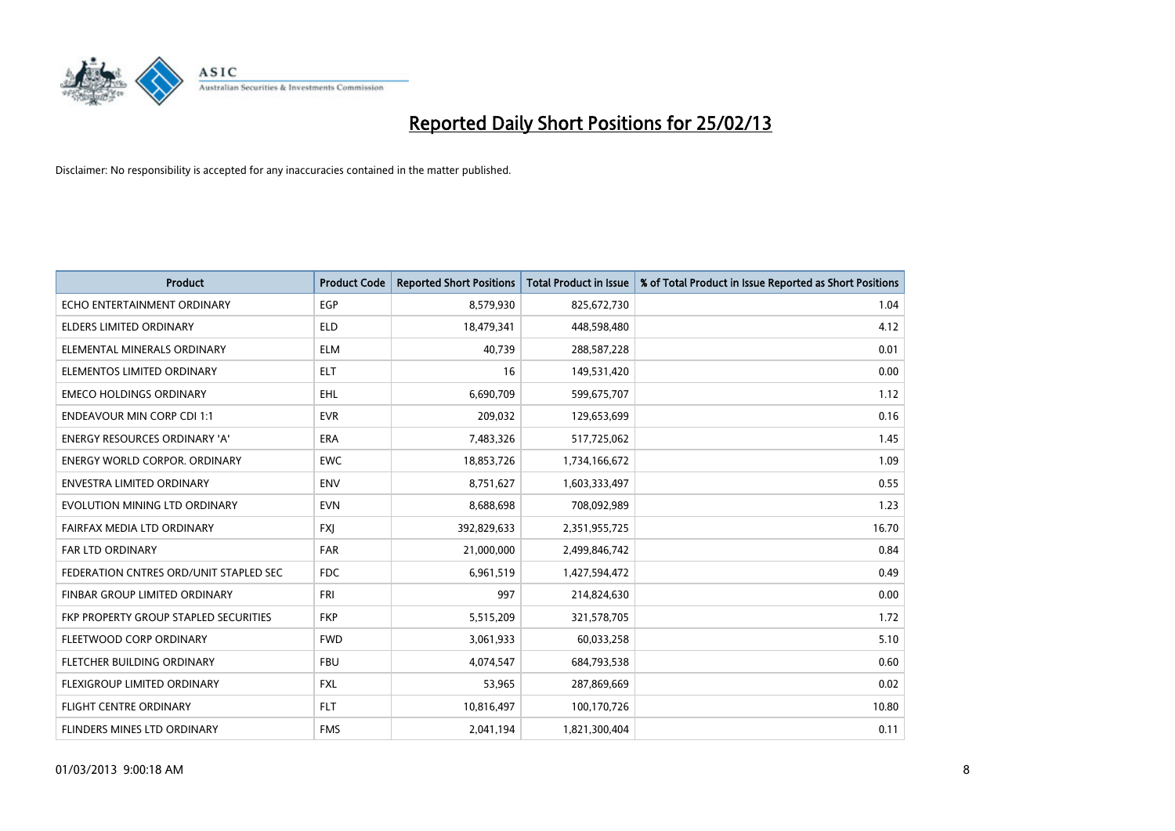

| <b>Product</b>                         | <b>Product Code</b> | <b>Reported Short Positions</b> | <b>Total Product in Issue</b> | % of Total Product in Issue Reported as Short Positions |
|----------------------------------------|---------------------|---------------------------------|-------------------------------|---------------------------------------------------------|
| ECHO ENTERTAINMENT ORDINARY            | <b>EGP</b>          | 8,579,930                       | 825,672,730                   | 1.04                                                    |
| <b>ELDERS LIMITED ORDINARY</b>         | <b>ELD</b>          | 18,479,341                      | 448,598,480                   | 4.12                                                    |
| ELEMENTAL MINERALS ORDINARY            | <b>ELM</b>          | 40,739                          | 288,587,228                   | 0.01                                                    |
| ELEMENTOS LIMITED ORDINARY             | <b>ELT</b>          | 16                              | 149,531,420                   | 0.00                                                    |
| <b>EMECO HOLDINGS ORDINARY</b>         | <b>EHL</b>          | 6,690,709                       | 599,675,707                   | 1.12                                                    |
| <b>ENDEAVOUR MIN CORP CDI 1:1</b>      | <b>EVR</b>          | 209,032                         | 129,653,699                   | 0.16                                                    |
| <b>ENERGY RESOURCES ORDINARY 'A'</b>   | <b>ERA</b>          | 7,483,326                       | 517,725,062                   | 1.45                                                    |
| <b>ENERGY WORLD CORPOR, ORDINARY</b>   | <b>EWC</b>          | 18,853,726                      | 1,734,166,672                 | 1.09                                                    |
| <b>ENVESTRA LIMITED ORDINARY</b>       | <b>ENV</b>          | 8,751,627                       | 1,603,333,497                 | 0.55                                                    |
| EVOLUTION MINING LTD ORDINARY          | <b>EVN</b>          | 8,688,698                       | 708,092,989                   | 1.23                                                    |
| FAIRFAX MEDIA LTD ORDINARY             | <b>FXI</b>          | 392,829,633                     | 2,351,955,725                 | 16.70                                                   |
| <b>FAR LTD ORDINARY</b>                | <b>FAR</b>          | 21,000,000                      | 2,499,846,742                 | 0.84                                                    |
| FEDERATION CNTRES ORD/UNIT STAPLED SEC | <b>FDC</b>          | 6,961,519                       | 1,427,594,472                 | 0.49                                                    |
| FINBAR GROUP LIMITED ORDINARY          | <b>FRI</b>          | 997                             | 214,824,630                   | 0.00                                                    |
| FKP PROPERTY GROUP STAPLED SECURITIES  | <b>FKP</b>          | 5,515,209                       | 321,578,705                   | 1.72                                                    |
| FLEETWOOD CORP ORDINARY                | <b>FWD</b>          | 3,061,933                       | 60,033,258                    | 5.10                                                    |
| FLETCHER BUILDING ORDINARY             | <b>FBU</b>          | 4,074,547                       | 684,793,538                   | 0.60                                                    |
| FLEXIGROUP LIMITED ORDINARY            | <b>FXL</b>          | 53.965                          | 287,869,669                   | 0.02                                                    |
| <b>FLIGHT CENTRE ORDINARY</b>          | <b>FLT</b>          | 10,816,497                      | 100,170,726                   | 10.80                                                   |
| <b>FLINDERS MINES LTD ORDINARY</b>     | <b>FMS</b>          | 2,041,194                       | 1,821,300,404                 | 0.11                                                    |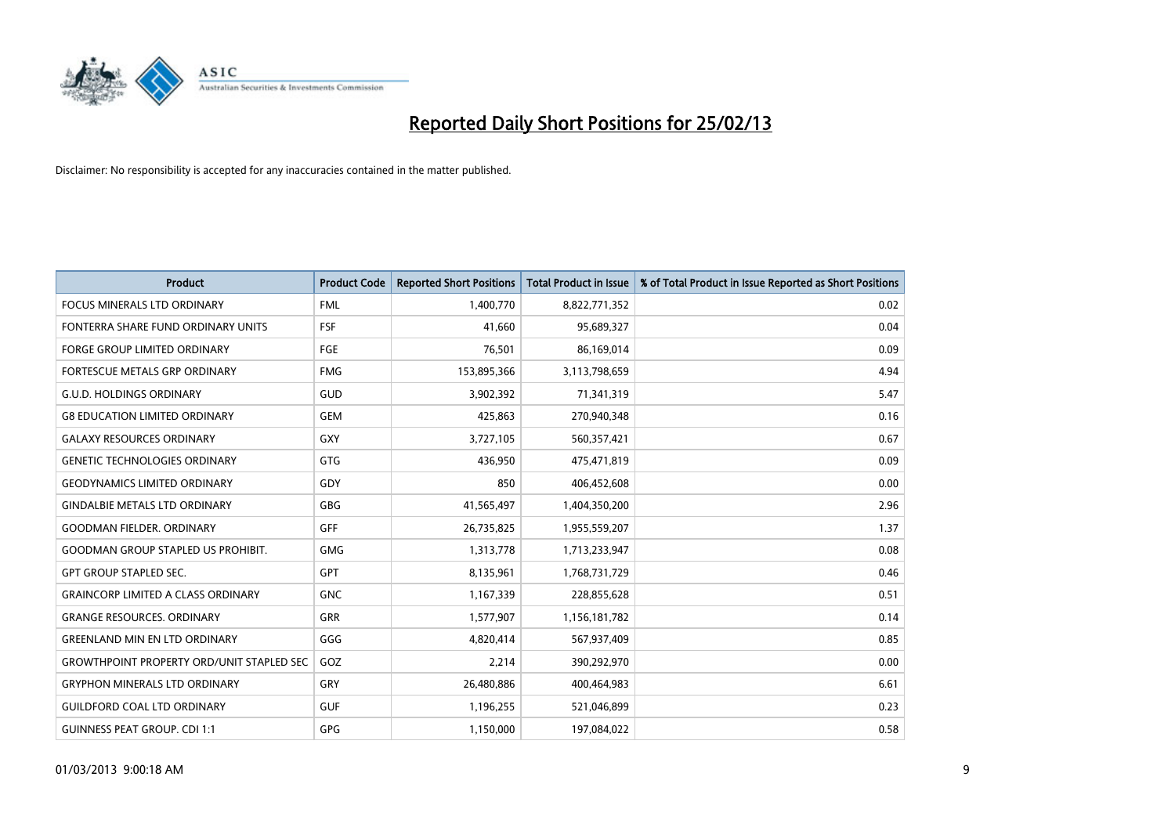

| <b>Product</b>                                   | <b>Product Code</b> | <b>Reported Short Positions</b> | <b>Total Product in Issue</b> | % of Total Product in Issue Reported as Short Positions |
|--------------------------------------------------|---------------------|---------------------------------|-------------------------------|---------------------------------------------------------|
| <b>FOCUS MINERALS LTD ORDINARY</b>               | <b>FML</b>          | 1,400,770                       | 8,822,771,352                 | 0.02                                                    |
| FONTERRA SHARE FUND ORDINARY UNITS               | <b>FSF</b>          | 41,660                          | 95,689,327                    | 0.04                                                    |
| <b>FORGE GROUP LIMITED ORDINARY</b>              | FGE                 | 76,501                          | 86,169,014                    | 0.09                                                    |
| FORTESCUE METALS GRP ORDINARY                    | <b>FMG</b>          | 153,895,366                     | 3,113,798,659                 | 4.94                                                    |
| <b>G.U.D. HOLDINGS ORDINARY</b>                  | GUD                 | 3,902,392                       | 71,341,319                    | 5.47                                                    |
| <b>G8 EDUCATION LIMITED ORDINARY</b>             | <b>GEM</b>          | 425,863                         | 270,940,348                   | 0.16                                                    |
| <b>GALAXY RESOURCES ORDINARY</b>                 | <b>GXY</b>          | 3,727,105                       | 560,357,421                   | 0.67                                                    |
| <b>GENETIC TECHNOLOGIES ORDINARY</b>             | <b>GTG</b>          | 436,950                         | 475,471,819                   | 0.09                                                    |
| <b>GEODYNAMICS LIMITED ORDINARY</b>              | GDY                 | 850                             | 406,452,608                   | 0.00                                                    |
| <b>GINDALBIE METALS LTD ORDINARY</b>             | GBG                 | 41,565,497                      | 1,404,350,200                 | 2.96                                                    |
| <b>GOODMAN FIELDER. ORDINARY</b>                 | GFF                 | 26,735,825                      | 1,955,559,207                 | 1.37                                                    |
| <b>GOODMAN GROUP STAPLED US PROHIBIT.</b>        | <b>GMG</b>          | 1,313,778                       | 1,713,233,947                 | 0.08                                                    |
| <b>GPT GROUP STAPLED SEC.</b>                    | GPT                 | 8,135,961                       | 1,768,731,729                 | 0.46                                                    |
| <b>GRAINCORP LIMITED A CLASS ORDINARY</b>        | <b>GNC</b>          | 1,167,339                       | 228,855,628                   | 0.51                                                    |
| <b>GRANGE RESOURCES, ORDINARY</b>                | <b>GRR</b>          | 1,577,907                       | 1,156,181,782                 | 0.14                                                    |
| <b>GREENLAND MIN EN LTD ORDINARY</b>             | GGG                 | 4,820,414                       | 567,937,409                   | 0.85                                                    |
| <b>GROWTHPOINT PROPERTY ORD/UNIT STAPLED SEC</b> | GOZ                 | 2,214                           | 390,292,970                   | 0.00                                                    |
| <b>GRYPHON MINERALS LTD ORDINARY</b>             | GRY                 | 26,480,886                      | 400,464,983                   | 6.61                                                    |
| <b>GUILDFORD COAL LTD ORDINARY</b>               | <b>GUF</b>          | 1,196,255                       | 521,046,899                   | 0.23                                                    |
| <b>GUINNESS PEAT GROUP. CDI 1:1</b>              | <b>GPG</b>          | 1,150,000                       | 197,084,022                   | 0.58                                                    |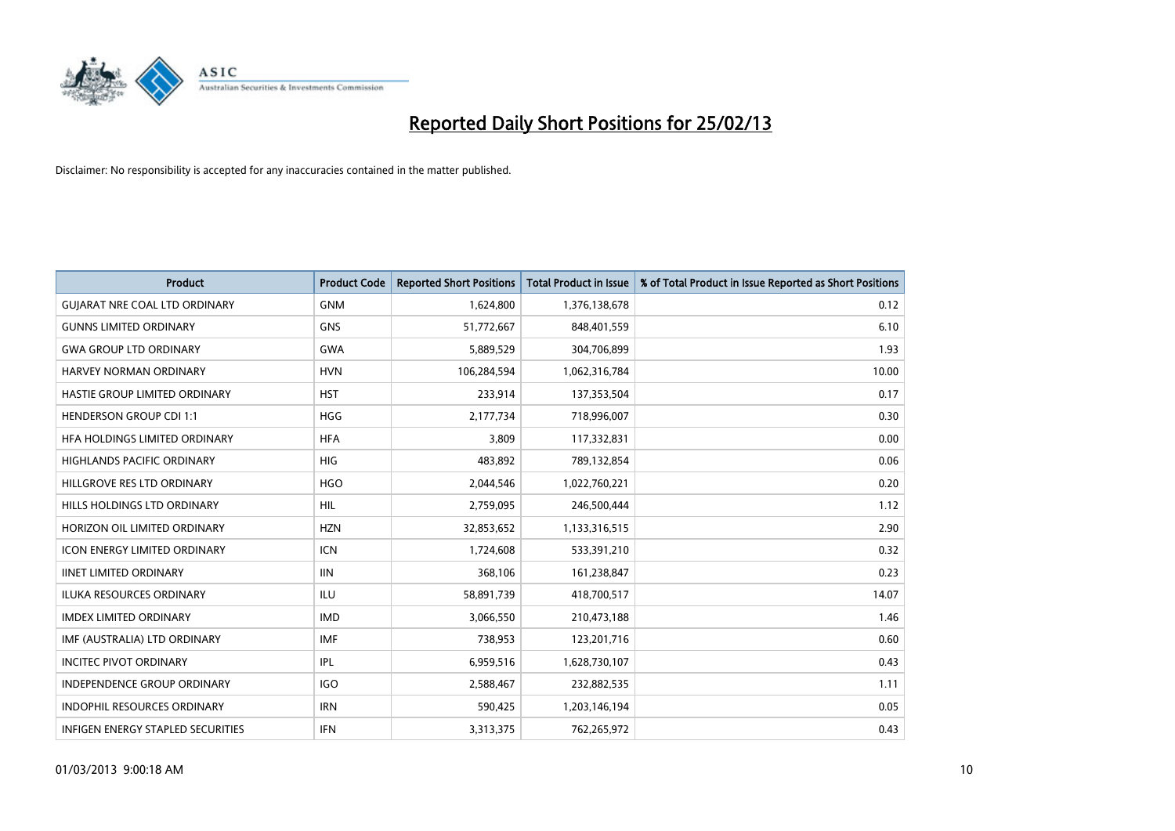

| <b>Product</b>                       | <b>Product Code</b> | <b>Reported Short Positions</b> | <b>Total Product in Issue</b> | % of Total Product in Issue Reported as Short Positions |
|--------------------------------------|---------------------|---------------------------------|-------------------------------|---------------------------------------------------------|
| <b>GUIARAT NRE COAL LTD ORDINARY</b> | <b>GNM</b>          | 1,624,800                       | 1,376,138,678                 | 0.12                                                    |
| <b>GUNNS LIMITED ORDINARY</b>        | <b>GNS</b>          | 51,772,667                      | 848,401,559                   | 6.10                                                    |
| <b>GWA GROUP LTD ORDINARY</b>        | <b>GWA</b>          | 5,889,529                       | 304,706,899                   | 1.93                                                    |
| HARVEY NORMAN ORDINARY               | <b>HVN</b>          | 106,284,594                     | 1,062,316,784                 | 10.00                                                   |
| HASTIE GROUP LIMITED ORDINARY        | <b>HST</b>          | 233,914                         | 137,353,504                   | 0.17                                                    |
| <b>HENDERSON GROUP CDI 1:1</b>       | <b>HGG</b>          | 2,177,734                       | 718,996,007                   | 0.30                                                    |
| HFA HOLDINGS LIMITED ORDINARY        | <b>HFA</b>          | 3,809                           | 117,332,831                   | 0.00                                                    |
| HIGHLANDS PACIFIC ORDINARY           | <b>HIG</b>          | 483,892                         | 789,132,854                   | 0.06                                                    |
| HILLGROVE RES LTD ORDINARY           | <b>HGO</b>          | 2,044,546                       | 1,022,760,221                 | 0.20                                                    |
| HILLS HOLDINGS LTD ORDINARY          | <b>HIL</b>          | 2,759,095                       | 246,500,444                   | 1.12                                                    |
| HORIZON OIL LIMITED ORDINARY         | <b>HZN</b>          | 32,853,652                      | 1,133,316,515                 | 2.90                                                    |
| <b>ICON ENERGY LIMITED ORDINARY</b>  | <b>ICN</b>          | 1,724,608                       | 533,391,210                   | 0.32                                                    |
| <b>IINET LIMITED ORDINARY</b>        | <b>IIN</b>          | 368,106                         | 161,238,847                   | 0.23                                                    |
| <b>ILUKA RESOURCES ORDINARY</b>      | ILU                 | 58,891,739                      | 418,700,517                   | 14.07                                                   |
| <b>IMDEX LIMITED ORDINARY</b>        | <b>IMD</b>          | 3,066,550                       | 210,473,188                   | 1.46                                                    |
| IMF (AUSTRALIA) LTD ORDINARY         | IMF                 | 738,953                         | 123,201,716                   | 0.60                                                    |
| <b>INCITEC PIVOT ORDINARY</b>        | <b>IPL</b>          | 6,959,516                       | 1,628,730,107                 | 0.43                                                    |
| INDEPENDENCE GROUP ORDINARY          | <b>IGO</b>          | 2,588,467                       | 232,882,535                   | 1.11                                                    |
| <b>INDOPHIL RESOURCES ORDINARY</b>   | <b>IRN</b>          | 590,425                         | 1,203,146,194                 | 0.05                                                    |
| INFIGEN ENERGY STAPLED SECURITIES    | <b>IFN</b>          | 3,313,375                       | 762,265,972                   | 0.43                                                    |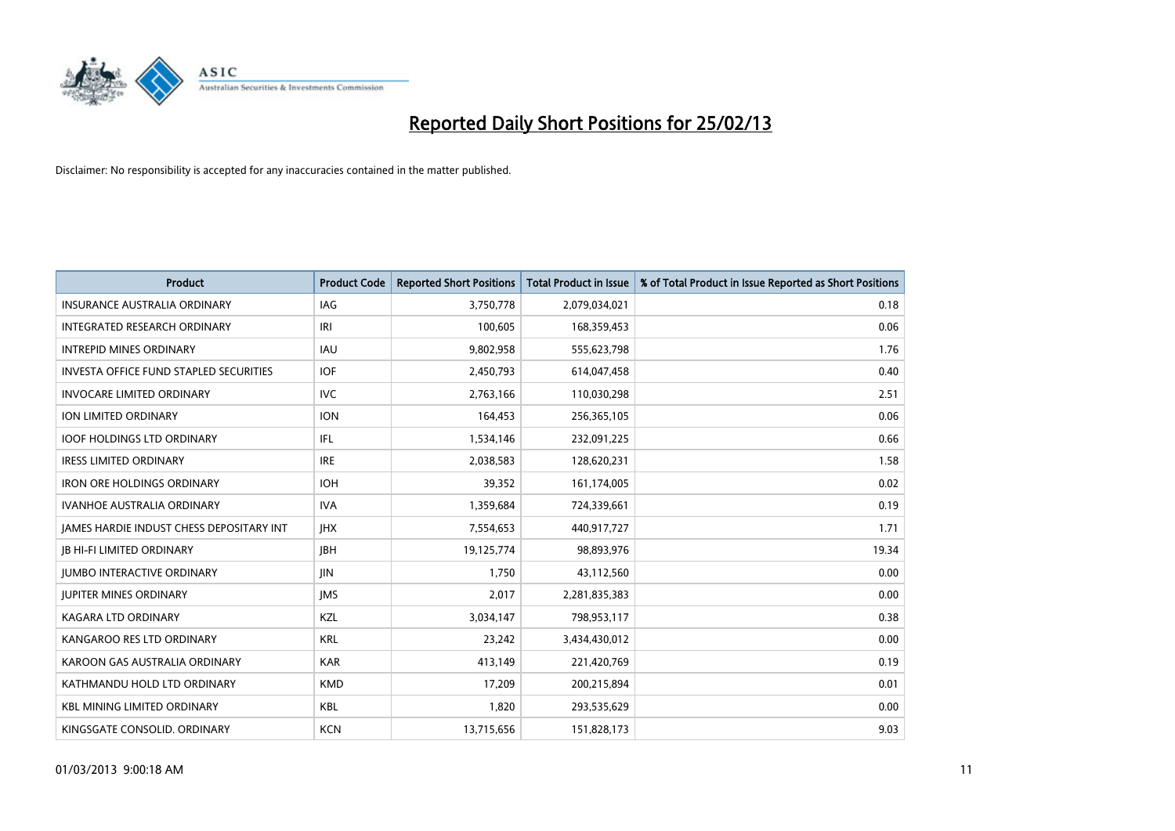

| Product                                         | <b>Product Code</b> | <b>Reported Short Positions</b> | <b>Total Product in Issue</b> | % of Total Product in Issue Reported as Short Positions |
|-------------------------------------------------|---------------------|---------------------------------|-------------------------------|---------------------------------------------------------|
| <b>INSURANCE AUSTRALIA ORDINARY</b>             | IAG                 | 3,750,778                       | 2,079,034,021                 | 0.18                                                    |
| INTEGRATED RESEARCH ORDINARY                    | IRI                 | 100,605                         | 168,359,453                   | 0.06                                                    |
| <b>INTREPID MINES ORDINARY</b>                  | IAU                 | 9,802,958                       | 555,623,798                   | 1.76                                                    |
| <b>INVESTA OFFICE FUND STAPLED SECURITIES</b>   | <b>IOF</b>          | 2,450,793                       | 614,047,458                   | 0.40                                                    |
| <b>INVOCARE LIMITED ORDINARY</b>                | <b>IVC</b>          | 2,763,166                       | 110,030,298                   | 2.51                                                    |
| <b>ION LIMITED ORDINARY</b>                     | <b>ION</b>          | 164,453                         | 256,365,105                   | 0.06                                                    |
| <b>IOOF HOLDINGS LTD ORDINARY</b>               | IFL                 | 1,534,146                       | 232,091,225                   | 0.66                                                    |
| <b>IRESS LIMITED ORDINARY</b>                   | <b>IRE</b>          | 2,038,583                       | 128,620,231                   | 1.58                                                    |
| <b>IRON ORE HOLDINGS ORDINARY</b>               | <b>IOH</b>          | 39,352                          | 161,174,005                   | 0.02                                                    |
| <b>IVANHOE AUSTRALIA ORDINARY</b>               | <b>IVA</b>          | 1,359,684                       | 724,339,661                   | 0.19                                                    |
| <b>JAMES HARDIE INDUST CHESS DEPOSITARY INT</b> | <b>IHX</b>          | 7,554,653                       | 440,917,727                   | 1.71                                                    |
| <b>JB HI-FI LIMITED ORDINARY</b>                | <b>JBH</b>          | 19,125,774                      | 98,893,976                    | 19.34                                                   |
| <b>JUMBO INTERACTIVE ORDINARY</b>               | JIN                 | 1,750                           | 43,112,560                    | 0.00                                                    |
| <b>JUPITER MINES ORDINARY</b>                   | <b>IMS</b>          | 2,017                           | 2,281,835,383                 | 0.00                                                    |
| <b>KAGARA LTD ORDINARY</b>                      | KZL                 | 3,034,147                       | 798,953,117                   | 0.38                                                    |
| KANGAROO RES LTD ORDINARY                       | <b>KRL</b>          | 23,242                          | 3,434,430,012                 | 0.00                                                    |
| KAROON GAS AUSTRALIA ORDINARY                   | <b>KAR</b>          | 413,149                         | 221,420,769                   | 0.19                                                    |
| KATHMANDU HOLD LTD ORDINARY                     | <b>KMD</b>          | 17,209                          | 200,215,894                   | 0.01                                                    |
| <b>KBL MINING LIMITED ORDINARY</b>              | <b>KBL</b>          | 1,820                           | 293,535,629                   | 0.00                                                    |
| KINGSGATE CONSOLID. ORDINARY                    | <b>KCN</b>          | 13,715,656                      | 151,828,173                   | 9.03                                                    |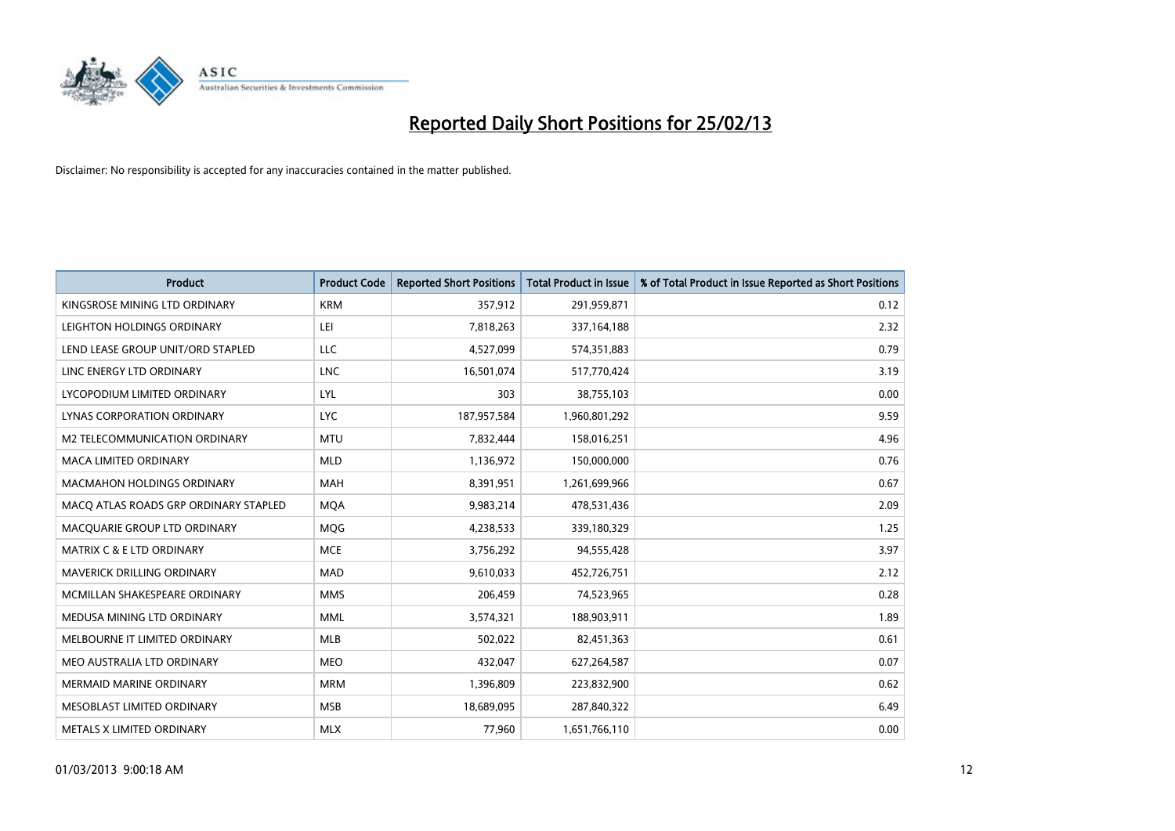

| <b>Product</b>                        | <b>Product Code</b> | <b>Reported Short Positions</b> | <b>Total Product in Issue</b> | % of Total Product in Issue Reported as Short Positions |
|---------------------------------------|---------------------|---------------------------------|-------------------------------|---------------------------------------------------------|
| KINGSROSE MINING LTD ORDINARY         | <b>KRM</b>          | 357,912                         | 291,959,871                   | 0.12                                                    |
| LEIGHTON HOLDINGS ORDINARY            | LEI                 | 7,818,263                       | 337,164,188                   | 2.32                                                    |
| LEND LEASE GROUP UNIT/ORD STAPLED     | <b>LLC</b>          | 4,527,099                       | 574,351,883                   | 0.79                                                    |
| LINC ENERGY LTD ORDINARY              | <b>LNC</b>          | 16,501,074                      | 517,770,424                   | 3.19                                                    |
| LYCOPODIUM LIMITED ORDINARY           | <b>LYL</b>          | 303                             | 38,755,103                    | 0.00                                                    |
| LYNAS CORPORATION ORDINARY            | <b>LYC</b>          | 187,957,584                     | 1,960,801,292                 | 9.59                                                    |
| M2 TELECOMMUNICATION ORDINARY         | <b>MTU</b>          | 7,832,444                       | 158,016,251                   | 4.96                                                    |
| <b>MACA LIMITED ORDINARY</b>          | <b>MLD</b>          | 1,136,972                       | 150,000,000                   | 0.76                                                    |
| <b>MACMAHON HOLDINGS ORDINARY</b>     | <b>MAH</b>          | 8,391,951                       | 1,261,699,966                 | 0.67                                                    |
| MACO ATLAS ROADS GRP ORDINARY STAPLED | <b>MOA</b>          | 9,983,214                       | 478,531,436                   | 2.09                                                    |
| MACQUARIE GROUP LTD ORDINARY          | <b>MOG</b>          | 4,238,533                       | 339,180,329                   | 1.25                                                    |
| <b>MATRIX C &amp; E LTD ORDINARY</b>  | <b>MCE</b>          | 3,756,292                       | 94,555,428                    | 3.97                                                    |
| <b>MAVERICK DRILLING ORDINARY</b>     | <b>MAD</b>          | 9,610,033                       | 452,726,751                   | 2.12                                                    |
| MCMILLAN SHAKESPEARE ORDINARY         | <b>MMS</b>          | 206,459                         | 74,523,965                    | 0.28                                                    |
| MEDUSA MINING LTD ORDINARY            | <b>MML</b>          | 3,574,321                       | 188,903,911                   | 1.89                                                    |
| MELBOURNE IT LIMITED ORDINARY         | <b>MLB</b>          | 502,022                         | 82,451,363                    | 0.61                                                    |
| MEO AUSTRALIA LTD ORDINARY            | <b>MEO</b>          | 432,047                         | 627,264,587                   | 0.07                                                    |
| <b>MERMAID MARINE ORDINARY</b>        | <b>MRM</b>          | 1,396,809                       | 223,832,900                   | 0.62                                                    |
| MESOBLAST LIMITED ORDINARY            | <b>MSB</b>          | 18,689,095                      | 287,840,322                   | 6.49                                                    |
| METALS X LIMITED ORDINARY             | <b>MLX</b>          | 77,960                          | 1,651,766,110                 | 0.00                                                    |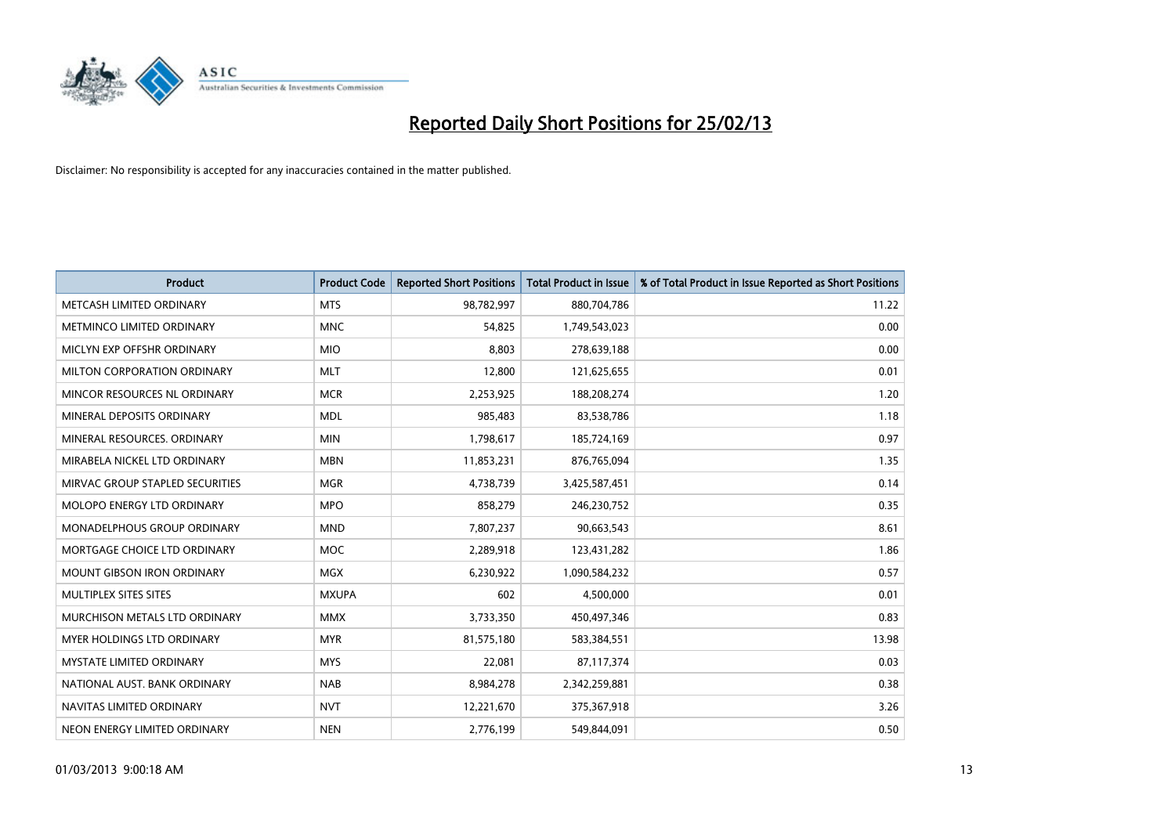

| <b>Product</b>                  | <b>Product Code</b> | <b>Reported Short Positions</b> | <b>Total Product in Issue</b> | % of Total Product in Issue Reported as Short Positions |
|---------------------------------|---------------------|---------------------------------|-------------------------------|---------------------------------------------------------|
| METCASH LIMITED ORDINARY        | <b>MTS</b>          | 98,782,997                      | 880,704,786                   | 11.22                                                   |
| METMINCO LIMITED ORDINARY       | <b>MNC</b>          | 54,825                          | 1,749,543,023                 | 0.00                                                    |
| MICLYN EXP OFFSHR ORDINARY      | <b>MIO</b>          | 8,803                           | 278,639,188                   | 0.00                                                    |
| MILTON CORPORATION ORDINARY     | <b>MLT</b>          | 12,800                          | 121,625,655                   | 0.01                                                    |
| MINCOR RESOURCES NL ORDINARY    | <b>MCR</b>          | 2,253,925                       | 188,208,274                   | 1.20                                                    |
| MINERAL DEPOSITS ORDINARY       | <b>MDL</b>          | 985,483                         | 83,538,786                    | 1.18                                                    |
| MINERAL RESOURCES, ORDINARY     | <b>MIN</b>          | 1,798,617                       | 185,724,169                   | 0.97                                                    |
| MIRABELA NICKEL LTD ORDINARY    | <b>MBN</b>          | 11,853,231                      | 876,765,094                   | 1.35                                                    |
| MIRVAC GROUP STAPLED SECURITIES | <b>MGR</b>          | 4,738,739                       | 3,425,587,451                 | 0.14                                                    |
| MOLOPO ENERGY LTD ORDINARY      | <b>MPO</b>          | 858,279                         | 246,230,752                   | 0.35                                                    |
| MONADELPHOUS GROUP ORDINARY     | <b>MND</b>          | 7,807,237                       | 90,663,543                    | 8.61                                                    |
| MORTGAGE CHOICE LTD ORDINARY    | <b>MOC</b>          | 2,289,918                       | 123,431,282                   | 1.86                                                    |
| MOUNT GIBSON IRON ORDINARY      | <b>MGX</b>          | 6,230,922                       | 1,090,584,232                 | 0.57                                                    |
| MULTIPLEX SITES SITES           | <b>MXUPA</b>        | 602                             | 4,500,000                     | 0.01                                                    |
| MURCHISON METALS LTD ORDINARY   | <b>MMX</b>          | 3,733,350                       | 450,497,346                   | 0.83                                                    |
| MYER HOLDINGS LTD ORDINARY      | <b>MYR</b>          | 81,575,180                      | 583,384,551                   | 13.98                                                   |
| <b>MYSTATE LIMITED ORDINARY</b> | <b>MYS</b>          | 22,081                          | 87,117,374                    | 0.03                                                    |
| NATIONAL AUST, BANK ORDINARY    | <b>NAB</b>          | 8,984,278                       | 2,342,259,881                 | 0.38                                                    |
| NAVITAS LIMITED ORDINARY        | <b>NVT</b>          | 12,221,670                      | 375,367,918                   | 3.26                                                    |
| NEON ENERGY LIMITED ORDINARY    | <b>NEN</b>          | 2,776,199                       | 549,844,091                   | 0.50                                                    |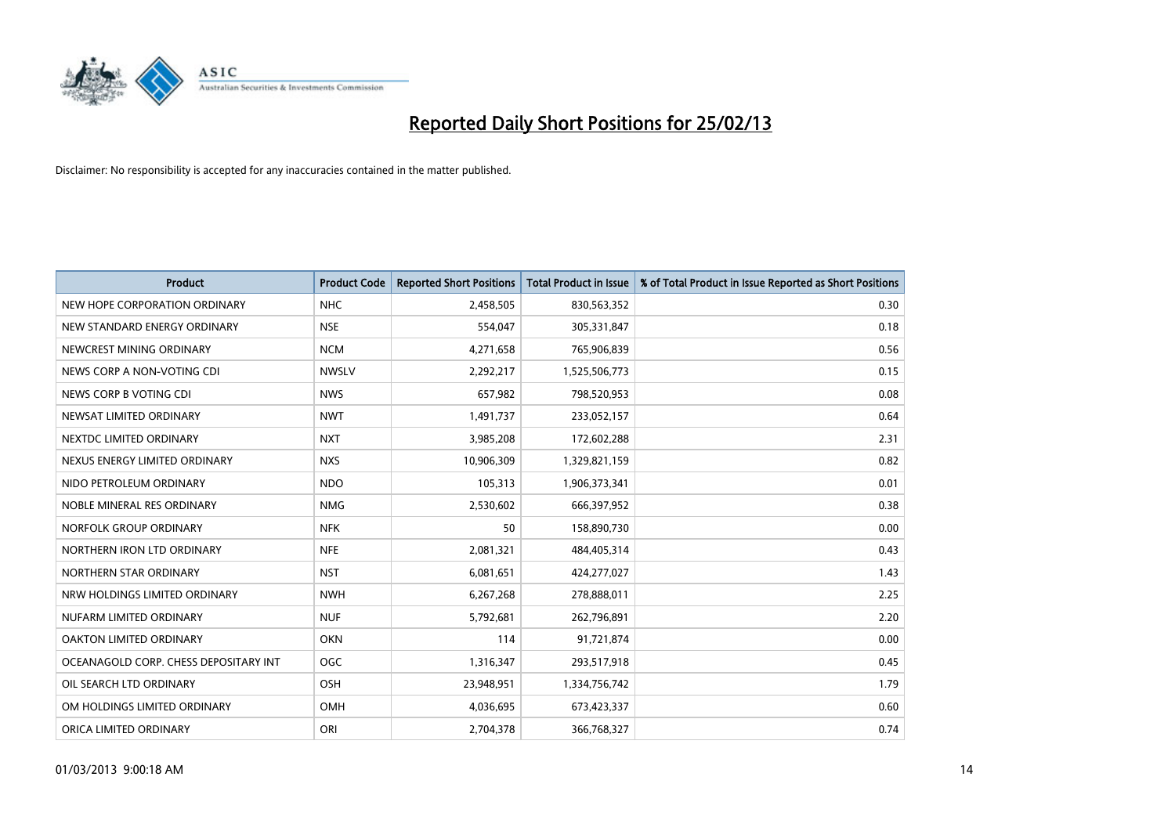

| <b>Product</b>                        | <b>Product Code</b> | <b>Reported Short Positions</b> | <b>Total Product in Issue</b> | % of Total Product in Issue Reported as Short Positions |
|---------------------------------------|---------------------|---------------------------------|-------------------------------|---------------------------------------------------------|
| NEW HOPE CORPORATION ORDINARY         | <b>NHC</b>          | 2,458,505                       | 830,563,352                   | 0.30                                                    |
| NEW STANDARD ENERGY ORDINARY          | <b>NSE</b>          | 554,047                         | 305,331,847                   | 0.18                                                    |
| NEWCREST MINING ORDINARY              | <b>NCM</b>          | 4,271,658                       | 765,906,839                   | 0.56                                                    |
| NEWS CORP A NON-VOTING CDI            | <b>NWSLV</b>        | 2,292,217                       | 1,525,506,773                 | 0.15                                                    |
| NEWS CORP B VOTING CDI                | <b>NWS</b>          | 657,982                         | 798,520,953                   | 0.08                                                    |
| NEWSAT LIMITED ORDINARY               | <b>NWT</b>          | 1,491,737                       | 233,052,157                   | 0.64                                                    |
| NEXTDC LIMITED ORDINARY               | <b>NXT</b>          | 3,985,208                       | 172,602,288                   | 2.31                                                    |
| NEXUS ENERGY LIMITED ORDINARY         | <b>NXS</b>          | 10,906,309                      | 1,329,821,159                 | 0.82                                                    |
| NIDO PETROLEUM ORDINARY               | <b>NDO</b>          | 105,313                         | 1,906,373,341                 | 0.01                                                    |
| NOBLE MINERAL RES ORDINARY            | <b>NMG</b>          | 2,530,602                       | 666,397,952                   | 0.38                                                    |
| NORFOLK GROUP ORDINARY                | <b>NFK</b>          | 50                              | 158,890,730                   | 0.00                                                    |
| NORTHERN IRON LTD ORDINARY            | <b>NFE</b>          | 2,081,321                       | 484,405,314                   | 0.43                                                    |
| NORTHERN STAR ORDINARY                | <b>NST</b>          | 6,081,651                       | 424,277,027                   | 1.43                                                    |
| NRW HOLDINGS LIMITED ORDINARY         | <b>NWH</b>          | 6,267,268                       | 278,888,011                   | 2.25                                                    |
| NUFARM LIMITED ORDINARY               | <b>NUF</b>          | 5,792,681                       | 262,796,891                   | 2.20                                                    |
| OAKTON LIMITED ORDINARY               | <b>OKN</b>          | 114                             | 91,721,874                    | 0.00                                                    |
| OCEANAGOLD CORP. CHESS DEPOSITARY INT | <b>OGC</b>          | 1,316,347                       | 293,517,918                   | 0.45                                                    |
| OIL SEARCH LTD ORDINARY               | OSH                 | 23,948,951                      | 1,334,756,742                 | 1.79                                                    |
| OM HOLDINGS LIMITED ORDINARY          | OMH                 | 4,036,695                       | 673,423,337                   | 0.60                                                    |
| ORICA LIMITED ORDINARY                | ORI                 | 2,704,378                       | 366,768,327                   | 0.74                                                    |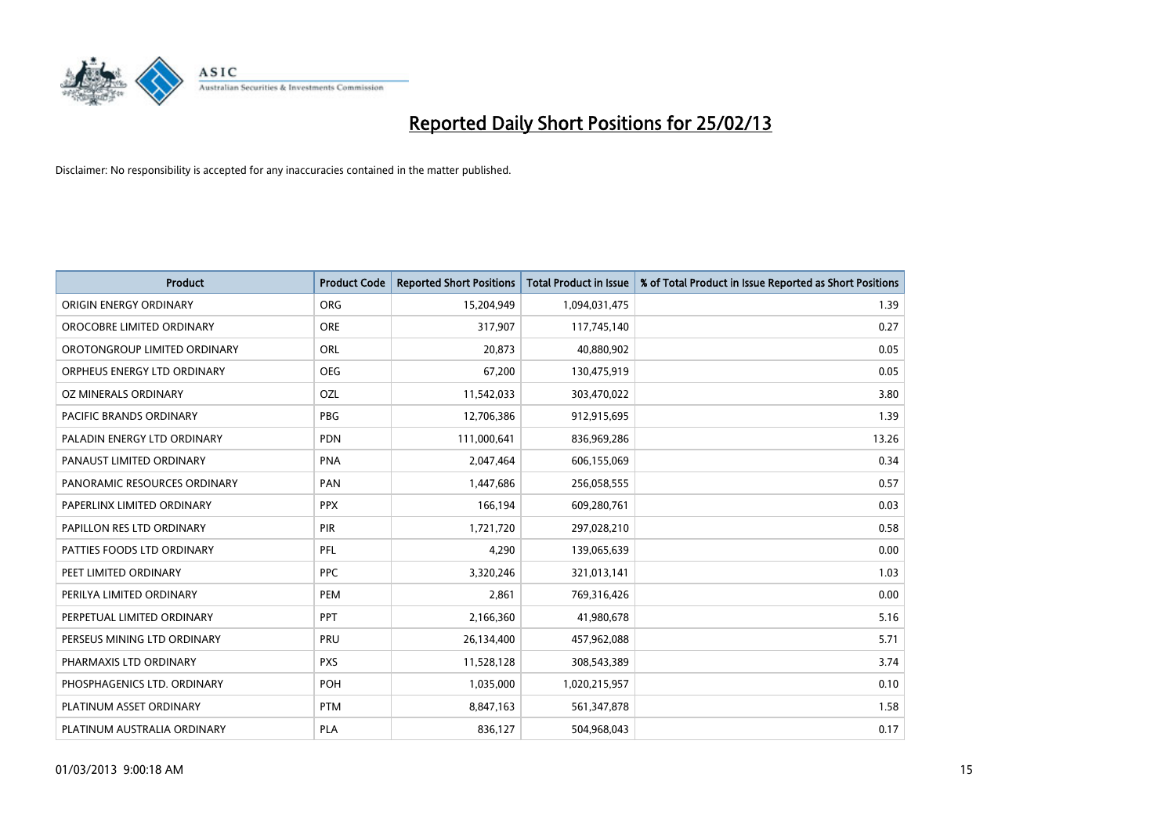

| <b>Product</b>                 | <b>Product Code</b> | <b>Reported Short Positions</b> | <b>Total Product in Issue</b> | % of Total Product in Issue Reported as Short Positions |
|--------------------------------|---------------------|---------------------------------|-------------------------------|---------------------------------------------------------|
| ORIGIN ENERGY ORDINARY         | <b>ORG</b>          | 15,204,949                      | 1,094,031,475                 | 1.39                                                    |
| OROCOBRE LIMITED ORDINARY      | <b>ORE</b>          | 317,907                         | 117,745,140                   | 0.27                                                    |
| OROTONGROUP LIMITED ORDINARY   | ORL                 | 20,873                          | 40,880,902                    | 0.05                                                    |
| ORPHEUS ENERGY LTD ORDINARY    | <b>OEG</b>          | 67,200                          | 130,475,919                   | 0.05                                                    |
| OZ MINERALS ORDINARY           | <b>OZL</b>          | 11,542,033                      | 303,470,022                   | 3.80                                                    |
| <b>PACIFIC BRANDS ORDINARY</b> | <b>PBG</b>          | 12,706,386                      | 912,915,695                   | 1.39                                                    |
| PALADIN ENERGY LTD ORDINARY    | <b>PDN</b>          | 111,000,641                     | 836,969,286                   | 13.26                                                   |
| PANAUST LIMITED ORDINARY       | <b>PNA</b>          | 2,047,464                       | 606,155,069                   | 0.34                                                    |
| PANORAMIC RESOURCES ORDINARY   | <b>PAN</b>          | 1,447,686                       | 256,058,555                   | 0.57                                                    |
| PAPERLINX LIMITED ORDINARY     | <b>PPX</b>          | 166,194                         | 609,280,761                   | 0.03                                                    |
| PAPILLON RES LTD ORDINARY      | <b>PIR</b>          | 1,721,720                       | 297,028,210                   | 0.58                                                    |
| PATTIES FOODS LTD ORDINARY     | PFL                 | 4,290                           | 139,065,639                   | 0.00                                                    |
| PEET LIMITED ORDINARY          | <b>PPC</b>          | 3,320,246                       | 321,013,141                   | 1.03                                                    |
| PERILYA LIMITED ORDINARY       | PEM                 | 2,861                           | 769,316,426                   | 0.00                                                    |
| PERPETUAL LIMITED ORDINARY     | PPT                 | 2,166,360                       | 41,980,678                    | 5.16                                                    |
| PERSEUS MINING LTD ORDINARY    | PRU                 | 26,134,400                      | 457,962,088                   | 5.71                                                    |
| PHARMAXIS LTD ORDINARY         | <b>PXS</b>          | 11,528,128                      | 308,543,389                   | 3.74                                                    |
| PHOSPHAGENICS LTD. ORDINARY    | POH                 | 1,035,000                       | 1,020,215,957                 | 0.10                                                    |
| PLATINUM ASSET ORDINARY        | <b>PTM</b>          | 8,847,163                       | 561,347,878                   | 1.58                                                    |
| PLATINUM AUSTRALIA ORDINARY    | <b>PLA</b>          | 836,127                         | 504,968,043                   | 0.17                                                    |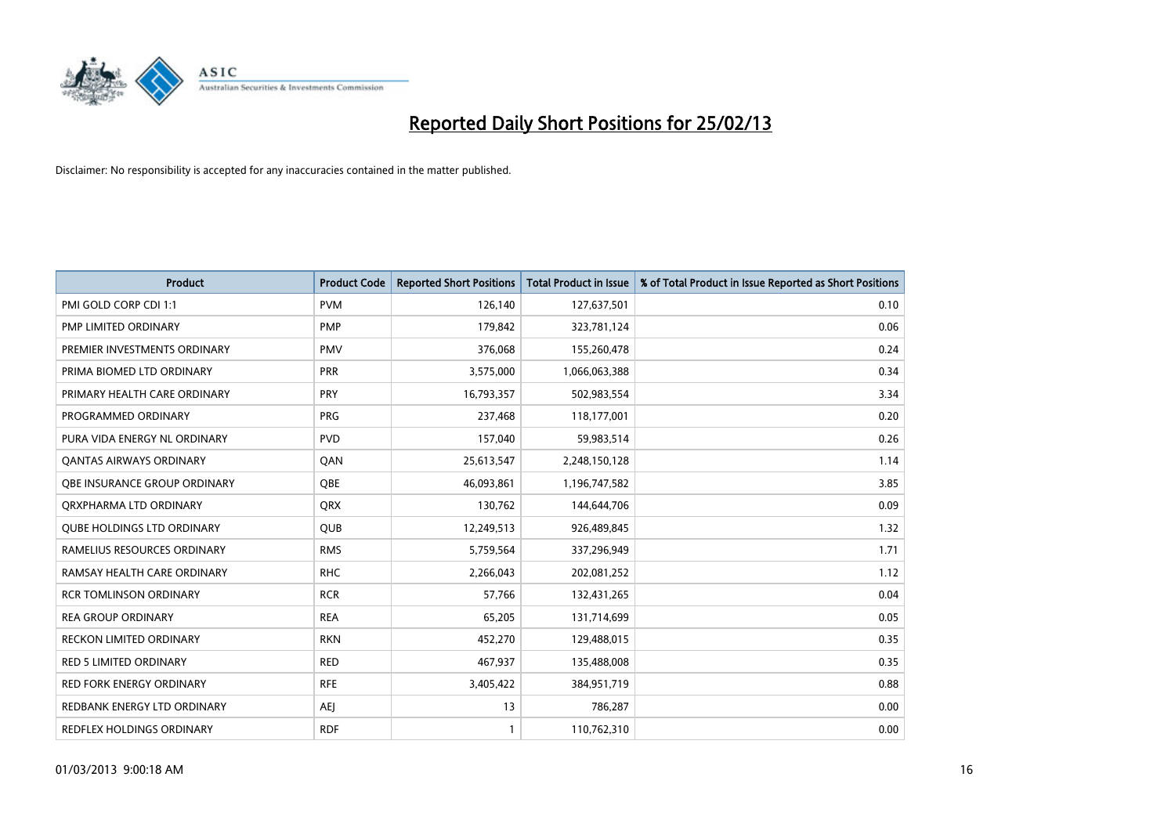

| <b>Product</b>                    | <b>Product Code</b> | <b>Reported Short Positions</b> | <b>Total Product in Issue</b> | % of Total Product in Issue Reported as Short Positions |
|-----------------------------------|---------------------|---------------------------------|-------------------------------|---------------------------------------------------------|
| PMI GOLD CORP CDI 1:1             | <b>PVM</b>          | 126,140                         | 127,637,501                   | 0.10                                                    |
| <b>PMP LIMITED ORDINARY</b>       | <b>PMP</b>          | 179,842                         | 323,781,124                   | 0.06                                                    |
| PREMIER INVESTMENTS ORDINARY      | <b>PMV</b>          | 376,068                         | 155,260,478                   | 0.24                                                    |
| PRIMA BIOMED LTD ORDINARY         | <b>PRR</b>          | 3,575,000                       | 1,066,063,388                 | 0.34                                                    |
| PRIMARY HEALTH CARE ORDINARY      | <b>PRY</b>          | 16,793,357                      | 502,983,554                   | 3.34                                                    |
| PROGRAMMED ORDINARY               | <b>PRG</b>          | 237,468                         | 118,177,001                   | 0.20                                                    |
| PURA VIDA ENERGY NL ORDINARY      | <b>PVD</b>          | 157,040                         | 59,983,514                    | 0.26                                                    |
| <b>QANTAS AIRWAYS ORDINARY</b>    | QAN                 | 25,613,547                      | 2,248,150,128                 | 1.14                                                    |
| OBE INSURANCE GROUP ORDINARY      | <b>OBE</b>          | 46,093,861                      | 1,196,747,582                 | 3.85                                                    |
| ORXPHARMA LTD ORDINARY            | <b>QRX</b>          | 130,762                         | 144,644,706                   | 0.09                                                    |
| <b>QUBE HOLDINGS LTD ORDINARY</b> | QUB                 | 12,249,513                      | 926,489,845                   | 1.32                                                    |
| RAMELIUS RESOURCES ORDINARY       | <b>RMS</b>          | 5,759,564                       | 337,296,949                   | 1.71                                                    |
| RAMSAY HEALTH CARE ORDINARY       | <b>RHC</b>          | 2,266,043                       | 202,081,252                   | 1.12                                                    |
| <b>RCR TOMLINSON ORDINARY</b>     | <b>RCR</b>          | 57,766                          | 132,431,265                   | 0.04                                                    |
| <b>REA GROUP ORDINARY</b>         | <b>REA</b>          | 65,205                          | 131,714,699                   | 0.05                                                    |
| RECKON LIMITED ORDINARY           | <b>RKN</b>          | 452,270                         | 129,488,015                   | 0.35                                                    |
| <b>RED 5 LIMITED ORDINARY</b>     | RED                 | 467,937                         | 135,488,008                   | 0.35                                                    |
| <b>RED FORK ENERGY ORDINARY</b>   | <b>RFE</b>          | 3,405,422                       | 384,951,719                   | 0.88                                                    |
| REDBANK ENERGY LTD ORDINARY       | <b>AEI</b>          | 13                              | 786,287                       | 0.00                                                    |
| REDFLEX HOLDINGS ORDINARY         | <b>RDF</b>          | 1                               | 110,762,310                   | 0.00                                                    |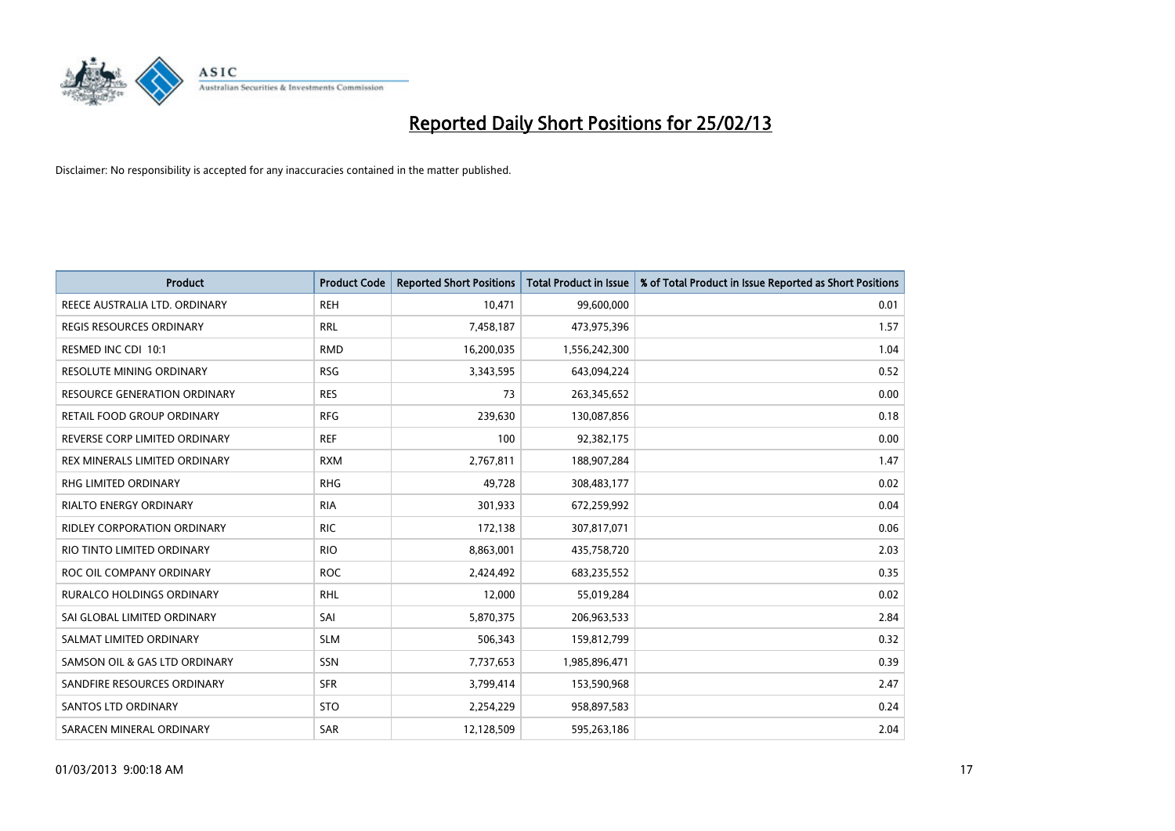

| Product                             | <b>Product Code</b> | <b>Reported Short Positions</b> | <b>Total Product in Issue</b> | % of Total Product in Issue Reported as Short Positions |
|-------------------------------------|---------------------|---------------------------------|-------------------------------|---------------------------------------------------------|
| REECE AUSTRALIA LTD. ORDINARY       | <b>REH</b>          | 10,471                          | 99,600,000                    | 0.01                                                    |
| <b>REGIS RESOURCES ORDINARY</b>     | <b>RRL</b>          | 7,458,187                       | 473,975,396                   | 1.57                                                    |
| RESMED INC CDI 10:1                 | <b>RMD</b>          | 16,200,035                      | 1,556,242,300                 | 1.04                                                    |
| <b>RESOLUTE MINING ORDINARY</b>     | <b>RSG</b>          | 3,343,595                       | 643,094,224                   | 0.52                                                    |
| <b>RESOURCE GENERATION ORDINARY</b> | <b>RES</b>          | 73                              | 263,345,652                   | 0.00                                                    |
| RETAIL FOOD GROUP ORDINARY          | <b>RFG</b>          | 239,630                         | 130,087,856                   | 0.18                                                    |
| REVERSE CORP LIMITED ORDINARY       | <b>REF</b>          | 100                             | 92,382,175                    | 0.00                                                    |
| REX MINERALS LIMITED ORDINARY       | <b>RXM</b>          | 2,767,811                       | 188,907,284                   | 1.47                                                    |
| <b>RHG LIMITED ORDINARY</b>         | <b>RHG</b>          | 49,728                          | 308,483,177                   | 0.02                                                    |
| <b>RIALTO ENERGY ORDINARY</b>       | <b>RIA</b>          | 301,933                         | 672,259,992                   | 0.04                                                    |
| <b>RIDLEY CORPORATION ORDINARY</b>  | <b>RIC</b>          | 172,138                         | 307,817,071                   | 0.06                                                    |
| RIO TINTO LIMITED ORDINARY          | <b>RIO</b>          | 8,863,001                       | 435,758,720                   | 2.03                                                    |
| ROC OIL COMPANY ORDINARY            | <b>ROC</b>          | 2,424,492                       | 683,235,552                   | 0.35                                                    |
| <b>RURALCO HOLDINGS ORDINARY</b>    | <b>RHL</b>          | 12,000                          | 55,019,284                    | 0.02                                                    |
| SAI GLOBAL LIMITED ORDINARY         | SAI                 | 5,870,375                       | 206,963,533                   | 2.84                                                    |
| SALMAT LIMITED ORDINARY             | <b>SLM</b>          | 506,343                         | 159,812,799                   | 0.32                                                    |
| SAMSON OIL & GAS LTD ORDINARY       | SSN                 | 7,737,653                       | 1,985,896,471                 | 0.39                                                    |
| SANDFIRE RESOURCES ORDINARY         | <b>SFR</b>          | 3,799,414                       | 153,590,968                   | 2.47                                                    |
| SANTOS LTD ORDINARY                 | <b>STO</b>          | 2,254,229                       | 958,897,583                   | 0.24                                                    |
| SARACEN MINERAL ORDINARY            | SAR                 | 12,128,509                      | 595,263,186                   | 2.04                                                    |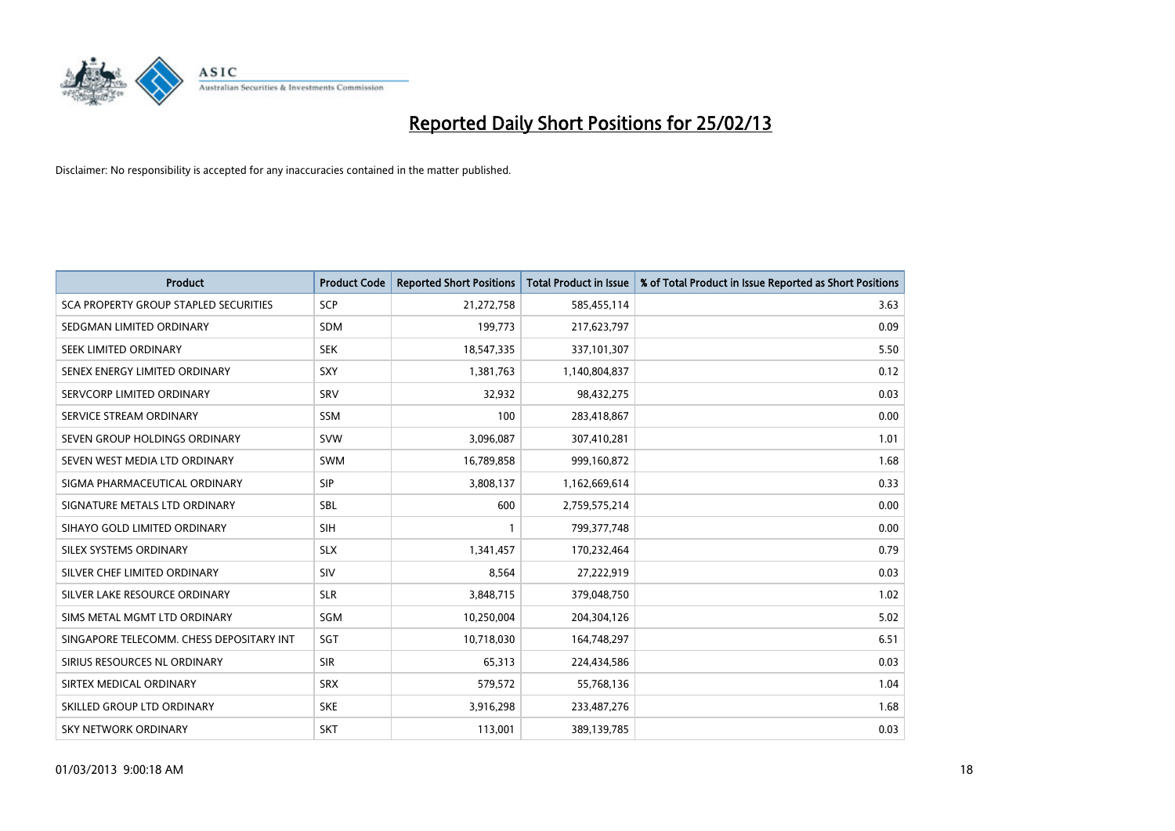

| <b>Product</b>                           | <b>Product Code</b> | <b>Reported Short Positions</b> | <b>Total Product in Issue</b> | % of Total Product in Issue Reported as Short Positions |
|------------------------------------------|---------------------|---------------------------------|-------------------------------|---------------------------------------------------------|
| SCA PROPERTY GROUP STAPLED SECURITIES    | <b>SCP</b>          | 21,272,758                      | 585,455,114                   | 3.63                                                    |
| SEDGMAN LIMITED ORDINARY                 | <b>SDM</b>          | 199,773                         | 217,623,797                   | 0.09                                                    |
| SEEK LIMITED ORDINARY                    | <b>SEK</b>          | 18,547,335                      | 337,101,307                   | 5.50                                                    |
| SENEX ENERGY LIMITED ORDINARY            | <b>SXY</b>          | 1,381,763                       | 1,140,804,837                 | 0.12                                                    |
| SERVCORP LIMITED ORDINARY                | SRV                 | 32,932                          | 98,432,275                    | 0.03                                                    |
| SERVICE STREAM ORDINARY                  | <b>SSM</b>          | 100                             | 283,418,867                   | 0.00                                                    |
| SEVEN GROUP HOLDINGS ORDINARY            | <b>SVW</b>          | 3,096,087                       | 307,410,281                   | 1.01                                                    |
| SEVEN WEST MEDIA LTD ORDINARY            | <b>SWM</b>          | 16,789,858                      | 999,160,872                   | 1.68                                                    |
| SIGMA PHARMACEUTICAL ORDINARY            | <b>SIP</b>          | 3,808,137                       | 1,162,669,614                 | 0.33                                                    |
| SIGNATURE METALS LTD ORDINARY            | <b>SBL</b>          | 600                             | 2,759,575,214                 | 0.00                                                    |
| SIHAYO GOLD LIMITED ORDINARY             | <b>SIH</b>          |                                 | 799, 377, 748                 | 0.00                                                    |
| SILEX SYSTEMS ORDINARY                   | <b>SLX</b>          | 1,341,457                       | 170,232,464                   | 0.79                                                    |
| SILVER CHEF LIMITED ORDINARY             | SIV                 | 8,564                           | 27,222,919                    | 0.03                                                    |
| SILVER LAKE RESOURCE ORDINARY            | <b>SLR</b>          | 3,848,715                       | 379,048,750                   | 1.02                                                    |
| SIMS METAL MGMT LTD ORDINARY             | SGM                 | 10,250,004                      | 204,304,126                   | 5.02                                                    |
| SINGAPORE TELECOMM. CHESS DEPOSITARY INT | <b>SGT</b>          | 10,718,030                      | 164,748,297                   | 6.51                                                    |
| SIRIUS RESOURCES NL ORDINARY             | <b>SIR</b>          | 65,313                          | 224,434,586                   | 0.03                                                    |
| SIRTEX MEDICAL ORDINARY                  | <b>SRX</b>          | 579,572                         | 55,768,136                    | 1.04                                                    |
| SKILLED GROUP LTD ORDINARY               | <b>SKE</b>          | 3,916,298                       | 233,487,276                   | 1.68                                                    |
| <b>SKY NETWORK ORDINARY</b>              | <b>SKT</b>          | 113,001                         | 389,139,785                   | 0.03                                                    |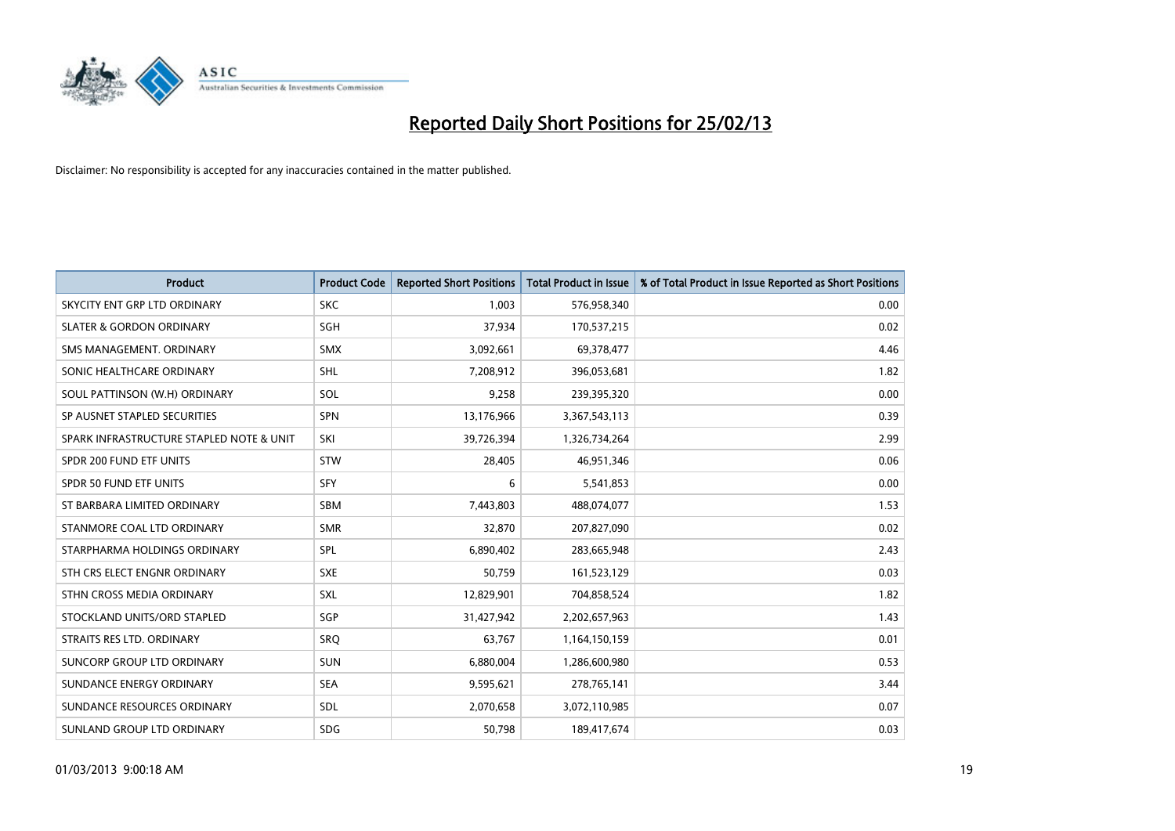

| <b>Product</b>                           | <b>Product Code</b> | <b>Reported Short Positions</b> | <b>Total Product in Issue</b> | % of Total Product in Issue Reported as Short Positions |
|------------------------------------------|---------------------|---------------------------------|-------------------------------|---------------------------------------------------------|
| SKYCITY ENT GRP LTD ORDINARY             | <b>SKC</b>          | 1,003                           | 576,958,340                   | 0.00                                                    |
| <b>SLATER &amp; GORDON ORDINARY</b>      | SGH                 | 37,934                          | 170,537,215                   | 0.02                                                    |
| SMS MANAGEMENT, ORDINARY                 | <b>SMX</b>          | 3,092,661                       | 69,378,477                    | 4.46                                                    |
| SONIC HEALTHCARE ORDINARY                | SHL                 | 7,208,912                       | 396,053,681                   | 1.82                                                    |
| SOUL PATTINSON (W.H) ORDINARY            | SOL                 | 9,258                           | 239,395,320                   | 0.00                                                    |
| SP AUSNET STAPLED SECURITIES             | <b>SPN</b>          | 13,176,966                      | 3,367,543,113                 | 0.39                                                    |
| SPARK INFRASTRUCTURE STAPLED NOTE & UNIT | SKI                 | 39,726,394                      | 1,326,734,264                 | 2.99                                                    |
| SPDR 200 FUND ETF UNITS                  | <b>STW</b>          | 28,405                          | 46,951,346                    | 0.06                                                    |
| SPDR 50 FUND ETF UNITS                   | <b>SFY</b>          | 6                               | 5,541,853                     | 0.00                                                    |
| ST BARBARA LIMITED ORDINARY              | <b>SBM</b>          | 7,443,803                       | 488,074,077                   | 1.53                                                    |
| STANMORE COAL LTD ORDINARY               | <b>SMR</b>          | 32,870                          | 207,827,090                   | 0.02                                                    |
| STARPHARMA HOLDINGS ORDINARY             | <b>SPL</b>          | 6,890,402                       | 283,665,948                   | 2.43                                                    |
| STH CRS ELECT ENGNR ORDINARY             | <b>SXE</b>          | 50,759                          | 161,523,129                   | 0.03                                                    |
| STHN CROSS MEDIA ORDINARY                | SXL                 | 12,829,901                      | 704,858,524                   | 1.82                                                    |
| STOCKLAND UNITS/ORD STAPLED              | SGP                 | 31,427,942                      | 2,202,657,963                 | 1.43                                                    |
| STRAITS RES LTD. ORDINARY                | <b>SRQ</b>          | 63,767                          | 1,164,150,159                 | 0.01                                                    |
| SUNCORP GROUP LTD ORDINARY               | <b>SUN</b>          | 6,880,004                       | 1,286,600,980                 | 0.53                                                    |
| SUNDANCE ENERGY ORDINARY                 | <b>SEA</b>          | 9,595,621                       | 278,765,141                   | 3.44                                                    |
| SUNDANCE RESOURCES ORDINARY              | SDL                 | 2,070,658                       | 3,072,110,985                 | 0.07                                                    |
| SUNLAND GROUP LTD ORDINARY               | <b>SDG</b>          | 50,798                          | 189,417,674                   | 0.03                                                    |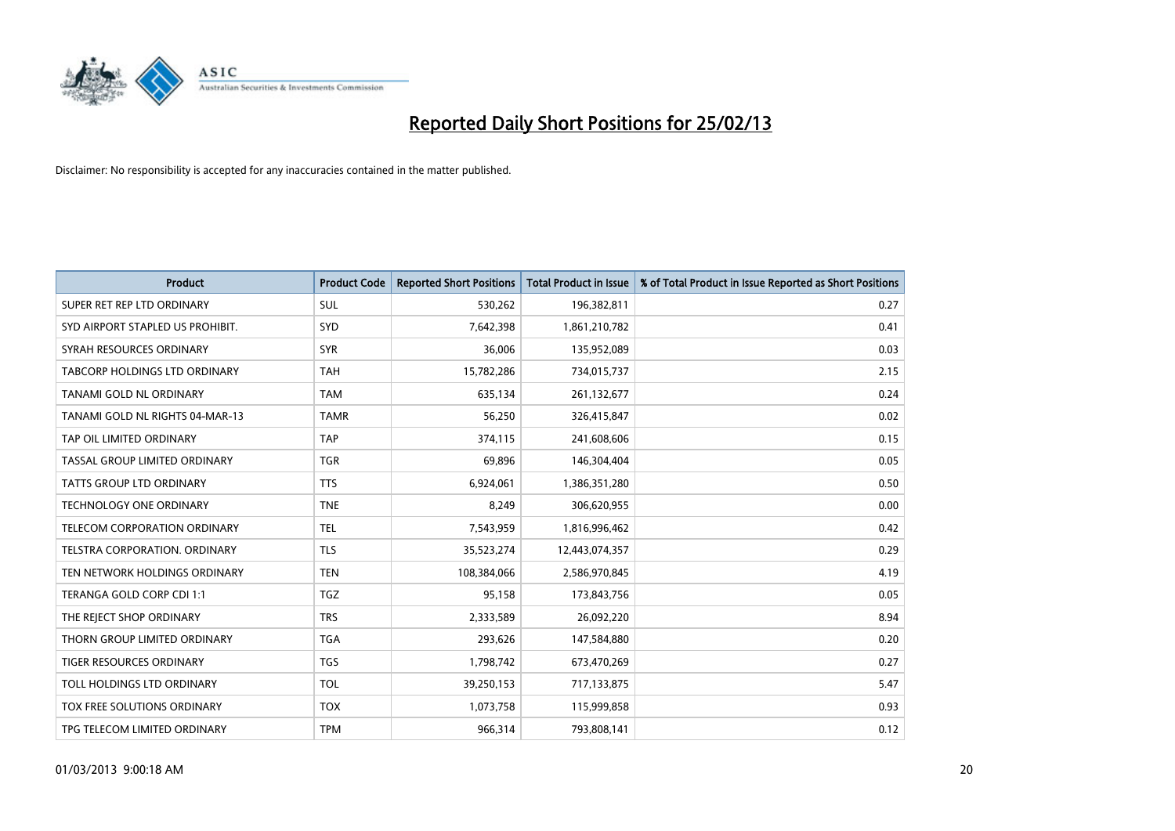

| <b>Product</b>                       | <b>Product Code</b> | <b>Reported Short Positions</b> | <b>Total Product in Issue</b> | % of Total Product in Issue Reported as Short Positions |
|--------------------------------------|---------------------|---------------------------------|-------------------------------|---------------------------------------------------------|
| SUPER RET REP LTD ORDINARY           | <b>SUL</b>          | 530,262                         | 196,382,811                   | 0.27                                                    |
| SYD AIRPORT STAPLED US PROHIBIT.     | SYD                 | 7,642,398                       | 1,861,210,782                 | 0.41                                                    |
| SYRAH RESOURCES ORDINARY             | <b>SYR</b>          | 36,006                          | 135,952,089                   | 0.03                                                    |
| TABCORP HOLDINGS LTD ORDINARY        | <b>TAH</b>          | 15,782,286                      | 734,015,737                   | 2.15                                                    |
| TANAMI GOLD NL ORDINARY              | <b>TAM</b>          | 635,134                         | 261,132,677                   | 0.24                                                    |
| TANAMI GOLD NL RIGHTS 04-MAR-13      | <b>TAMR</b>         | 56,250                          | 326,415,847                   | 0.02                                                    |
| TAP OIL LIMITED ORDINARY             | <b>TAP</b>          | 374,115                         | 241,608,606                   | 0.15                                                    |
| TASSAL GROUP LIMITED ORDINARY        | <b>TGR</b>          | 69,896                          | 146,304,404                   | 0.05                                                    |
| <b>TATTS GROUP LTD ORDINARY</b>      | <b>TTS</b>          | 6,924,061                       | 1,386,351,280                 | 0.50                                                    |
| <b>TECHNOLOGY ONE ORDINARY</b>       | <b>TNE</b>          | 8,249                           | 306,620,955                   | 0.00                                                    |
| TELECOM CORPORATION ORDINARY         | <b>TEL</b>          | 7,543,959                       | 1,816,996,462                 | 0.42                                                    |
| <b>TELSTRA CORPORATION, ORDINARY</b> | <b>TLS</b>          | 35,523,274                      | 12,443,074,357                | 0.29                                                    |
| TEN NETWORK HOLDINGS ORDINARY        | <b>TEN</b>          | 108,384,066                     | 2,586,970,845                 | 4.19                                                    |
| TERANGA GOLD CORP CDI 1:1            | <b>TGZ</b>          | 95,158                          | 173,843,756                   | 0.05                                                    |
| THE REJECT SHOP ORDINARY             | <b>TRS</b>          | 2,333,589                       | 26,092,220                    | 8.94                                                    |
| THORN GROUP LIMITED ORDINARY         | <b>TGA</b>          | 293,626                         | 147,584,880                   | 0.20                                                    |
| TIGER RESOURCES ORDINARY             | TGS                 | 1,798,742                       | 673,470,269                   | 0.27                                                    |
| TOLL HOLDINGS LTD ORDINARY           | <b>TOL</b>          | 39,250,153                      | 717,133,875                   | 5.47                                                    |
| TOX FREE SOLUTIONS ORDINARY          | <b>TOX</b>          | 1,073,758                       | 115,999,858                   | 0.93                                                    |
| TPG TELECOM LIMITED ORDINARY         | <b>TPM</b>          | 966,314                         | 793,808,141                   | 0.12                                                    |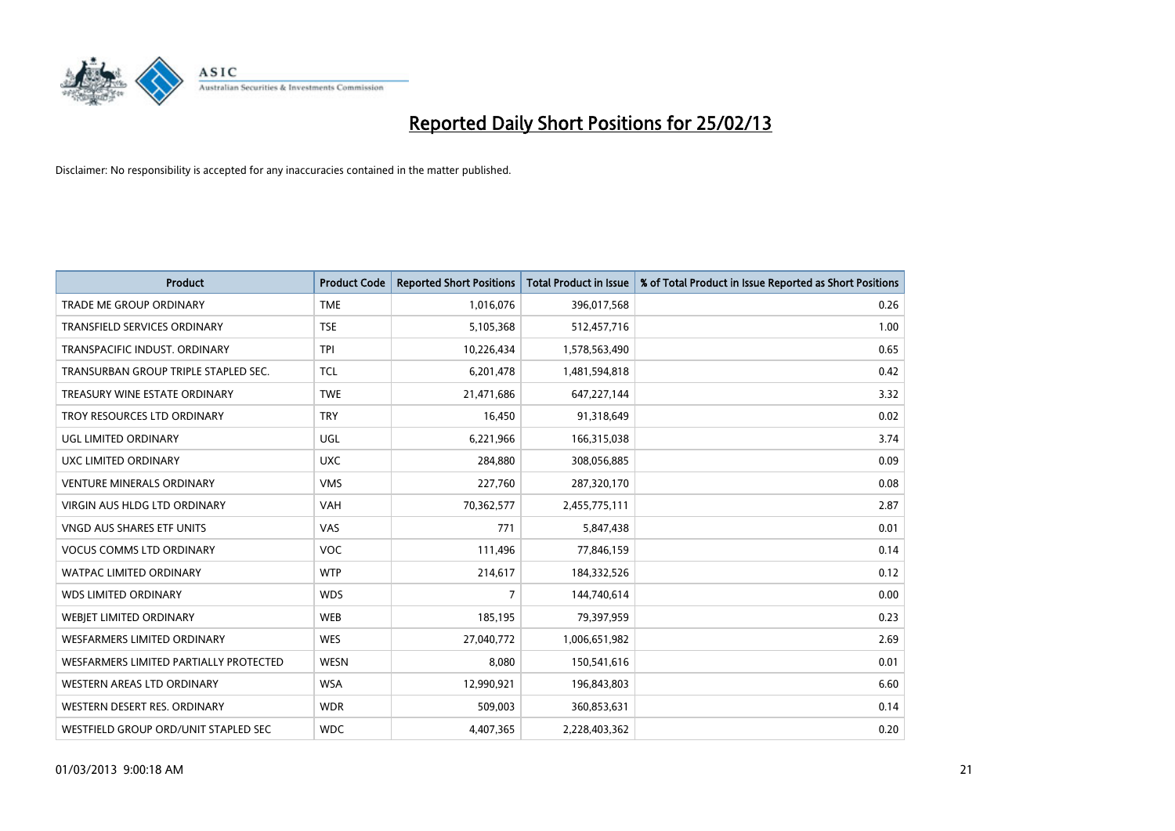

| <b>Product</b>                         | <b>Product Code</b> | <b>Reported Short Positions</b> | <b>Total Product in Issue</b> | % of Total Product in Issue Reported as Short Positions |
|----------------------------------------|---------------------|---------------------------------|-------------------------------|---------------------------------------------------------|
| <b>TRADE ME GROUP ORDINARY</b>         | <b>TME</b>          | 1,016,076                       | 396,017,568                   | 0.26                                                    |
| TRANSFIELD SERVICES ORDINARY           | <b>TSE</b>          | 5,105,368                       | 512,457,716                   | 1.00                                                    |
| TRANSPACIFIC INDUST, ORDINARY          | <b>TPI</b>          | 10,226,434                      | 1,578,563,490                 | 0.65                                                    |
| TRANSURBAN GROUP TRIPLE STAPLED SEC.   | <b>TCL</b>          | 6,201,478                       | 1,481,594,818                 | 0.42                                                    |
| TREASURY WINE ESTATE ORDINARY          | <b>TWE</b>          | 21,471,686                      | 647,227,144                   | 3.32                                                    |
| TROY RESOURCES LTD ORDINARY            | <b>TRY</b>          | 16,450                          | 91,318,649                    | 0.02                                                    |
| UGL LIMITED ORDINARY                   | UGL                 | 6,221,966                       | 166,315,038                   | 3.74                                                    |
| UXC LIMITED ORDINARY                   | <b>UXC</b>          | 284,880                         | 308,056,885                   | 0.09                                                    |
| <b>VENTURE MINERALS ORDINARY</b>       | <b>VMS</b>          | 227,760                         | 287,320,170                   | 0.08                                                    |
| VIRGIN AUS HLDG LTD ORDINARY           | <b>VAH</b>          | 70,362,577                      | 2,455,775,111                 | 2.87                                                    |
| VNGD AUS SHARES ETF UNITS              | VAS                 | 771                             | 5,847,438                     | 0.01                                                    |
| <b>VOCUS COMMS LTD ORDINARY</b>        | <b>VOC</b>          | 111,496                         | 77,846,159                    | 0.14                                                    |
| WATPAC LIMITED ORDINARY                | <b>WTP</b>          | 214,617                         | 184,332,526                   | 0.12                                                    |
| <b>WDS LIMITED ORDINARY</b>            | <b>WDS</b>          | $\overline{7}$                  | 144,740,614                   | 0.00                                                    |
| WEBJET LIMITED ORDINARY                | <b>WEB</b>          | 185,195                         | 79,397,959                    | 0.23                                                    |
| WESFARMERS LIMITED ORDINARY            | <b>WES</b>          | 27,040,772                      | 1,006,651,982                 | 2.69                                                    |
| WESFARMERS LIMITED PARTIALLY PROTECTED | <b>WESN</b>         | 8,080                           | 150,541,616                   | 0.01                                                    |
| WESTERN AREAS LTD ORDINARY             | <b>WSA</b>          | 12,990,921                      | 196,843,803                   | 6.60                                                    |
| WESTERN DESERT RES. ORDINARY           | <b>WDR</b>          | 509,003                         | 360,853,631                   | 0.14                                                    |
| WESTFIELD GROUP ORD/UNIT STAPLED SEC   | <b>WDC</b>          | 4,407,365                       | 2,228,403,362                 | 0.20                                                    |